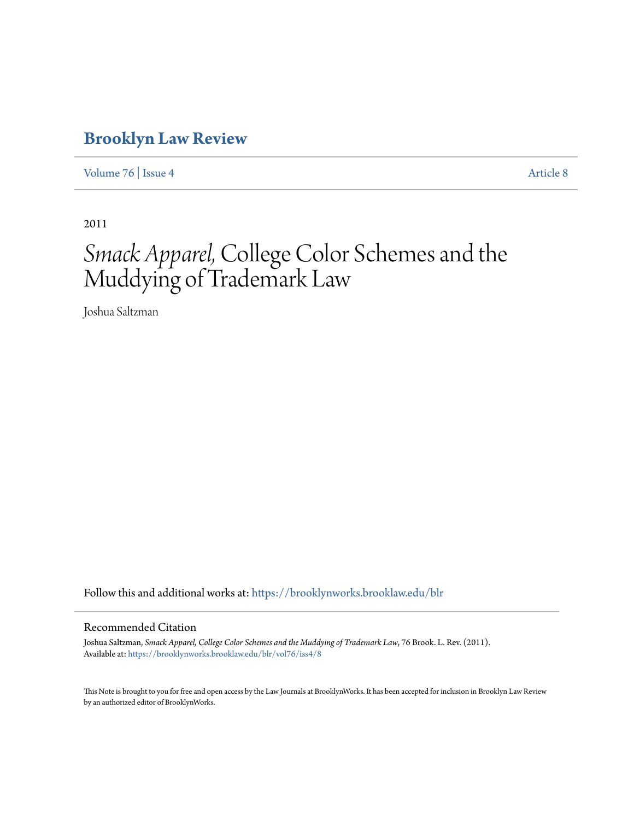## **[Brooklyn Law Review](https://brooklynworks.brooklaw.edu/blr?utm_source=brooklynworks.brooklaw.edu%2Fblr%2Fvol76%2Fiss4%2F8&utm_medium=PDF&utm_campaign=PDFCoverPages)**

[Volume 76](https://brooklynworks.brooklaw.edu/blr/vol76?utm_source=brooklynworks.brooklaw.edu%2Fblr%2Fvol76%2Fiss4%2F8&utm_medium=PDF&utm_campaign=PDFCoverPages) | [Issue 4](https://brooklynworks.brooklaw.edu/blr/vol76/iss4?utm_source=brooklynworks.brooklaw.edu%2Fblr%2Fvol76%2Fiss4%2F8&utm_medium=PDF&utm_campaign=PDFCoverPages) [Article 8](https://brooklynworks.brooklaw.edu/blr/vol76/iss4/8?utm_source=brooklynworks.brooklaw.edu%2Fblr%2Fvol76%2Fiss4%2F8&utm_medium=PDF&utm_campaign=PDFCoverPages)

2011

# *Smack Apparel,*College Color Schemes and the Muddying of Trademark Law

Joshua Saltzman

Follow this and additional works at: [https://brooklynworks.brooklaw.edu/blr](https://brooklynworks.brooklaw.edu/blr?utm_source=brooklynworks.brooklaw.edu%2Fblr%2Fvol76%2Fiss4%2F8&utm_medium=PDF&utm_campaign=PDFCoverPages)

## Recommended Citation

Joshua Saltzman, *Smack Apparel, College Color Schemes and the Muddying of Trademark Law*, 76 Brook. L. Rev. (2011). Available at: [https://brooklynworks.brooklaw.edu/blr/vol76/iss4/8](https://brooklynworks.brooklaw.edu/blr/vol76/iss4/8?utm_source=brooklynworks.brooklaw.edu%2Fblr%2Fvol76%2Fiss4%2F8&utm_medium=PDF&utm_campaign=PDFCoverPages)

This Note is brought to you for free and open access by the Law Journals at BrooklynWorks. It has been accepted for inclusion in Brooklyn Law Review by an authorized editor of BrooklynWorks.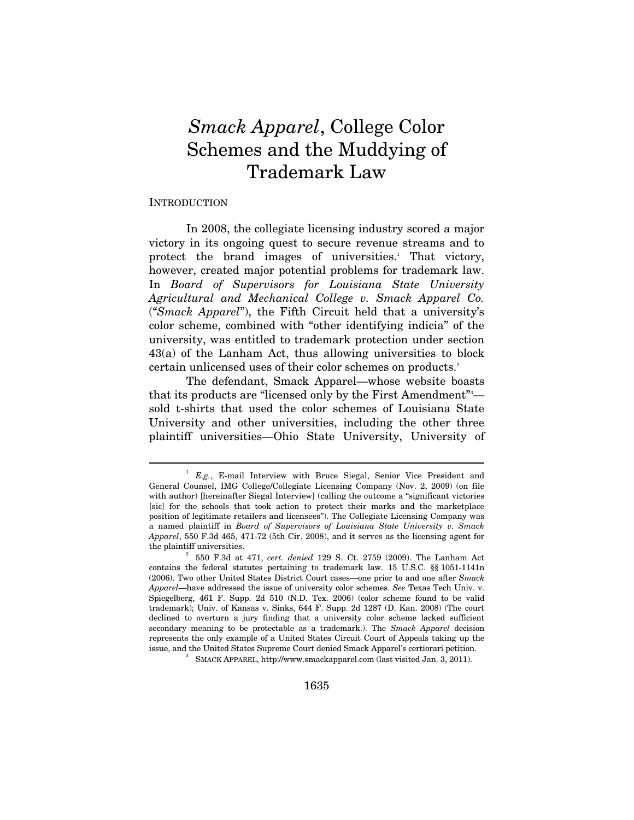## *Smack Apparel*, College Color Schemes and the Muddying of Trademark Law

#### INTRODUCTION

 $\overline{a}$ 

In 2008, the collegiate licensing industry scored a major victory in its ongoing quest to secure revenue streams and to protect the brand images of universities.<sup>1</sup> That victory, however, created major potential problems for trademark law. In *Board of Supervisors for Louisiana State University Agricultural and Mechanical College v. Smack Apparel Co.*  ("*Smack Apparel*"), the Fifth Circuit held that a university's color scheme, combined with "other identifying indicia" of the university, was entitled to trademark protection under section 43(a) of the Lanham Act, thus allowing universities to block certain unlicensed uses of their color schemes on products.<sup>2</sup>

The defendant, Smack Apparel—whose website boasts that its products are "licensed only by the First Amendment"3 sold t-shirts that used the color schemes of Louisiana State University and other universities, including the other three plaintiff universities—Ohio State University, University of

SMACK APPAREL, http://www.smackapparel.com (last visited Jan. 3, 2011).

<sup>&</sup>lt;sup>1</sup> *E.g.*, E-mail Interview with Bruce Siegal, Senior Vice President and General Counsel, IMG College/Collegiate Licensing Company (Nov. 2, 2009) (on file with author) [hereinafter Siegal Interview] (calling the outcome a "significant victories [sic] for the schools that took action to protect their marks and the marketplace position of legitimate retailers and licensees"). The Collegiate Licensing Company was a named plaintiff in *Board of Supervisors of Louisiana State University v. Smack Apparel*, 550 F.3d 465, 471-72 (5th Cir. 2008), and it serves as the licensing agent for the plaintiff universities. 2

 <sup>550</sup> F.3d at 471, *cert. denied* 129 S. Ct. 2759 (2009). The Lanham Act contains the federal statutes pertaining to trademark law. 15 U.S.C. §§ 1051-1141n (2006). Two other United States District Court cases—one prior to and one after *Smack Apparel*—have addressed the issue of university color schemes. *See* Texas Tech Univ. v. Spiegelberg, 461 F. Supp. 2d 510 (N.D. Tex. 2006) (color scheme found to be valid trademark); Univ. of Kansas v. Sinks, 644 F. Supp. 2d 1287 (D. Kan. 2008) (The court declined to overturn a jury finding that a university color scheme lacked sufficient secondary meaning to be protectable as a trademark.). The *Smack Apparel* decision represents the only example of a United States Circuit Court of Appeals taking up the issue, and the United States Supreme Court denied Smack Apparel's certiorari petition. 3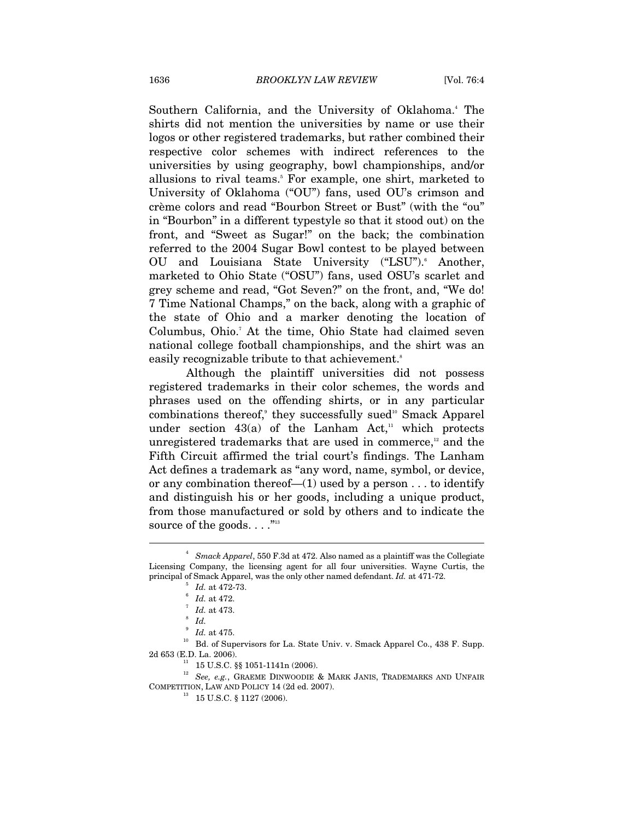Southern California, and the University of Oklahoma.<sup>4</sup> The shirts did not mention the universities by name or use their logos or other registered trademarks, but rather combined their respective color schemes with indirect references to the universities by using geography, bowl championships, and/or allusions to rival teams.<sup>5</sup> For example, one shirt, marketed to University of Oklahoma ("OU") fans, used OU's crimson and crème colors and read "Bourbon Street or Bust" (with the "ou" in "Bourbon" in a different typestyle so that it stood out) on the front, and "Sweet as Sugar!" on the back; the combination referred to the 2004 Sugar Bowl contest to be played between OU and Louisiana State University ("LSU"). Another, marketed to Ohio State ("OSU") fans, used OSU's scarlet and grey scheme and read, "Got Seven?" on the front, and, "We do! 7 Time National Champs," on the back, along with a graphic of the state of Ohio and a marker denoting the location of Columbus, Ohio.<sup>7</sup> At the time, Ohio State had claimed seven national college football championships, and the shirt was an easily recognizable tribute to that achievement.<sup>8</sup>

Although the plaintiff universities did not possess registered trademarks in their color schemes, the words and phrases used on the offending shirts, or in any particular combinations thereof,<sup>®</sup> they successfully sued<sup>10</sup> Smack Apparel under section  $43(a)$  of the Lanham Act,<sup>11</sup> which protects unregistered trademarks that are used in commerce, $^{\text{12}}$  and the Fifth Circuit affirmed the trial court's findings. The Lanham Act defines a trademark as "any word, name, symbol, or device, or any combination thereof— $(1)$  used by a person . . . to identify and distinguish his or her goods, including a unique product, from those manufactured or sold by others and to indicate the source of the goods.  $\dots$ <sup>"13</sup>

 $\overline{a}$ 

<sup>10</sup> Bd. of Supervisors for La. State Univ. v. Smack Apparel Co., 438 F. Supp. 2d 653 (E.D. La. 2006).

<sup>4</sup> *Smack Apparel*, 550 F.3d at 472. Also named as a plaintiff was the Collegiate Licensing Company, the licensing agent for all four universities. Wayne Curtis, the principal of Smack Apparel, was the only other named defendant. *Id.* at 471-72. 5

*Id.* at 472-73.<br>*Id.* at 472.

*Id.* at 473.

*Id.*

 $^{\circ}$   $\emph{Id.}$  at 475.

 $11$  15 U.S.C. §§ 1051-1141n (2006).

<sup>12</sup> *See, e.g.*, GRAEME DINWOODIE & MARK JANIS, TRADEMARKS AND UNFAIR  $\begin{array}{lll} \text{COMPETITION, LAW AND POLICY 14 (2d ed. 2007).}\\ & \text{13 \quad 15 U.S.C. § 1127 (2006).} \end{array}$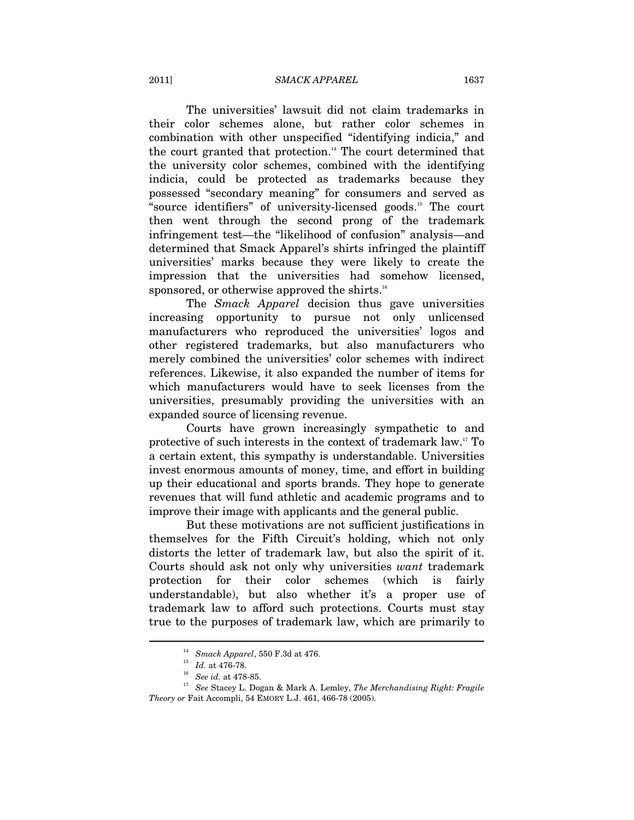#### 2011] *SMACK APPAREL* 1637

The universities' lawsuit did not claim trademarks in their color schemes alone, but rather color schemes in combination with other unspecified "identifying indicia," and the court granted that protection.<sup>14</sup> The court determined that the university color schemes, combined with the identifying indicia, could be protected as trademarks because they possessed "secondary meaning" for consumers and served as "source identifiers" of university-licensed goods.15 The court then went through the second prong of the trademark infringement test—the "likelihood of confusion" analysis—and determined that Smack Apparel's shirts infringed the plaintiff universities' marks because they were likely to create the impression that the universities had somehow licensed, sponsored, or otherwise approved the shirts.<sup>16</sup>

The *Smack Apparel* decision thus gave universities increasing opportunity to pursue not only unlicensed manufacturers who reproduced the universities' logos and other registered trademarks, but also manufacturers who merely combined the universities' color schemes with indirect references. Likewise, it also expanded the number of items for which manufacturers would have to seek licenses from the universities, presumably providing the universities with an expanded source of licensing revenue.

Courts have grown increasingly sympathetic to and protective of such interests in the context of trademark law.17 To a certain extent, this sympathy is understandable. Universities invest enormous amounts of money, time, and effort in building up their educational and sports brands. They hope to generate revenues that will fund athletic and academic programs and to improve their image with applicants and the general public.

But these motivations are not sufficient justifications in themselves for the Fifth Circuit's holding, which not only distorts the letter of trademark law, but also the spirit of it. Courts should ask not only why universities *want* trademark protection for their color schemes (which is fairly understandable), but also whether it's a proper use of trademark law to afford such protections. Courts must stay true to the purposes of trademark law, which are primarily to

<sup>&</sup>lt;sup>14</sup> *Smack Apparel*, 550 F.3d at 476.<br><sup>15</sup> *Id.* at 476-78.<br><sup>16</sup> *See id.* at 478-85.<br><sup>17</sup> *See* Stacey L. Dogan & Mark A. Lemley, *The Merchandising Right: Fragile Theory or* Fait Accompli, 54 EMORY L.J. 461, 466-78 (2005).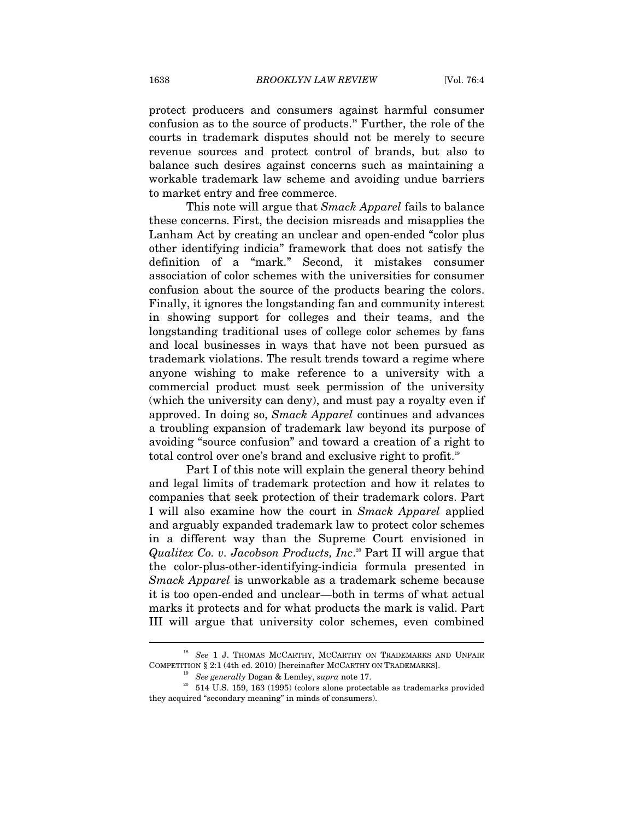protect producers and consumers against harmful consumer confusion as to the source of products.18 Further, the role of the courts in trademark disputes should not be merely to secure revenue sources and protect control of brands, but also to balance such desires against concerns such as maintaining a workable trademark law scheme and avoiding undue barriers to market entry and free commerce.

This note will argue that *Smack Apparel* fails to balance these concerns. First, the decision misreads and misapplies the Lanham Act by creating an unclear and open-ended "color plus other identifying indicia" framework that does not satisfy the definition of a "mark." Second, it mistakes consumer association of color schemes with the universities for consumer confusion about the source of the products bearing the colors. Finally, it ignores the longstanding fan and community interest in showing support for colleges and their teams, and the longstanding traditional uses of college color schemes by fans and local businesses in ways that have not been pursued as trademark violations. The result trends toward a regime where anyone wishing to make reference to a university with a commercial product must seek permission of the university (which the university can deny), and must pay a royalty even if approved. In doing so, *Smack Apparel* continues and advances a troubling expansion of trademark law beyond its purpose of avoiding "source confusion" and toward a creation of a right to total control over one's brand and exclusive right to profit.<sup>19</sup>

Part I of this note will explain the general theory behind and legal limits of trademark protection and how it relates to companies that seek protection of their trademark colors. Part I will also examine how the court in *Smack Apparel* applied and arguably expanded trademark law to protect color schemes in a different way than the Supreme Court envisioned in *Qualitex Co. v. Jacobson Products, Inc*. 20 Part II will argue that the color-plus-other-identifying-indicia formula presented in *Smack Apparel* is unworkable as a trademark scheme because it is too open-ended and unclear—both in terms of what actual marks it protects and for what products the mark is valid. Part III will argue that university color schemes, even combined

<sup>18</sup> *See* 1 J. THOMAS MCCARTHY, MCCARTHY ON TRADEMARKS AND UNFAIR COMPETITION § 2:1 (4th ed. 2010) [hereinafter MCCARTHY ON TRADEMARKS]. 19 *See generally* Dogan & Lemley, *supra* note 17. 20 514 U.S. 159, 163 (1995) (colors alone protectable as trademarks provided

they acquired "secondary meaning" in minds of consumers).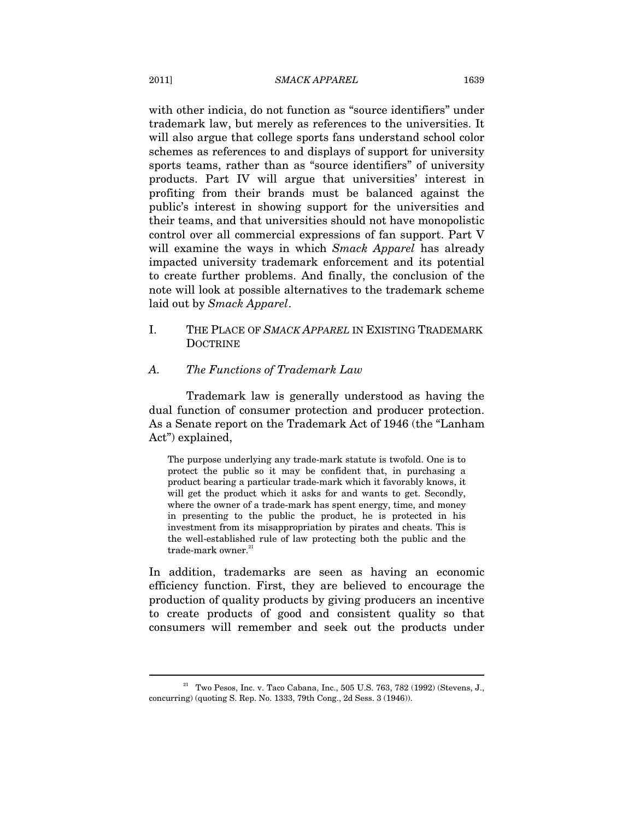with other indicia, do not function as "source identifiers" under trademark law, but merely as references to the universities. It will also argue that college sports fans understand school color schemes as references to and displays of support for university sports teams, rather than as "source identifiers" of university products. Part IV will argue that universities' interest in profiting from their brands must be balanced against the public's interest in showing support for the universities and their teams, and that universities should not have monopolistic control over all commercial expressions of fan support. Part V will examine the ways in which *Smack Apparel* has already impacted university trademark enforcement and its potential to create further problems. And finally, the conclusion of the note will look at possible alternatives to the trademark scheme laid out by *Smack Apparel*.

I. THE PLACE OF *SMACK APPAREL* IN EXISTING TRADEMARK DOCTRINE

## *A. The Functions of Trademark Law*

Trademark law is generally understood as having the dual function of consumer protection and producer protection. As a Senate report on the Trademark Act of 1946 (the "Lanham Act") explained,

The purpose underlying any trade-mark statute is twofold. One is to protect the public so it may be confident that, in purchasing a product bearing a particular trade-mark which it favorably knows, it will get the product which it asks for and wants to get. Secondly, where the owner of a trade-mark has spent energy, time, and money in presenting to the public the product, he is protected in his investment from its misappropriation by pirates and cheats. This is the well-established rule of law protecting both the public and the trade-mark owner. $21$ 

In addition, trademarks are seen as having an economic efficiency function. First, they are believed to encourage the production of quality products by giving producers an incentive to create products of good and consistent quality so that consumers will remember and seek out the products under

 $21$  Two Pesos, Inc. v. Taco Cabana, Inc., 505 U.S. 763, 782 (1992) (Stevens, J., concurring) (quoting S. Rep. No. 1333, 79th Cong., 2d Sess. 3 (1946)).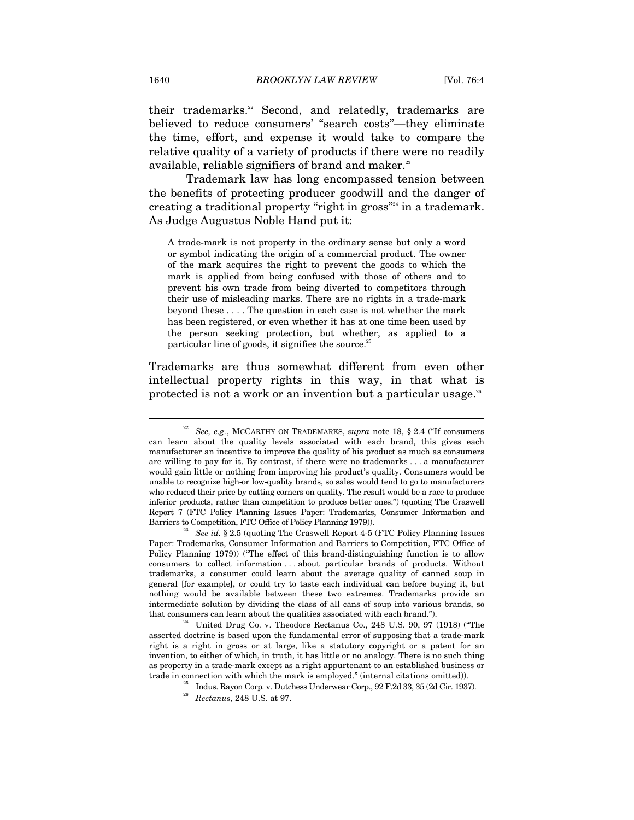their trademarks.<sup>22</sup> Second, and relatedly, trademarks are believed to reduce consumers' "search costs"—they eliminate the time, effort, and expense it would take to compare the relative quality of a variety of products if there were no readily available, reliable signifiers of brand and maker.<sup>23</sup>

Trademark law has long encompassed tension between the benefits of protecting producer goodwill and the danger of creating a traditional property "right in gross"24 in a trademark. As Judge Augustus Noble Hand put it:

A trade-mark is not property in the ordinary sense but only a word or symbol indicating the origin of a commercial product. The owner of the mark acquires the right to prevent the goods to which the mark is applied from being confused with those of others and to prevent his own trade from being diverted to competitors through their use of misleading marks. There are no rights in a trade-mark beyond these . . . . The question in each case is not whether the mark has been registered, or even whether it has at one time been used by the person seeking protection, but whether, as applied to a particular line of goods, it signifies the source. $^{25}$ 

Trademarks are thus somewhat different from even other intellectual property rights in this way, in that what is protected is not a work or an invention but a particular usage.<sup>26</sup>

<sup>22</sup> *See, e.g.*, MCCARTHY ON TRADEMARKS, *supra* note 18, § 2.4 ("If consumers can learn about the quality levels associated with each brand, this gives each manufacturer an incentive to improve the quality of his product as much as consumers are willing to pay for it. By contrast, if there were no trademarks . . . a manufacturer would gain little or nothing from improving his product's quality. Consumers would be unable to recognize high-or low-quality brands, so sales would tend to go to manufacturers who reduced their price by cutting corners on quality. The result would be a race to produce inferior products, rather than competition to produce better ones.") (quoting The Craswell Report 7 (FTC Policy Planning Issues Paper: Trademarks, Consumer Information and Barriers to Competition, FTC Office of Policy Planning 1979)). 23 *See id.* § 2.5 (quoting The Craswell Report 4-5 (FTC Policy Planning Issues

Paper: Trademarks, Consumer Information and Barriers to Competition, FTC Office of Policy Planning 1979)) ("The effect of this brand-distinguishing function is to allow consumers to collect information . . . about particular brands of products. Without trademarks, a consumer could learn about the average quality of canned soup in general [for example], or could try to taste each individual can before buying it, but nothing would be available between these two extremes. Trademarks provide an intermediate solution by dividing the class of all cans of soup into various brands, so that consumers can learn about the qualities associated with each brand.").<br><sup>24</sup> United Drug Co. v. Theodore Rectanus Co., 248 U.S. 90, 97 (1918) ("The

asserted doctrine is based upon the fundamental error of supposing that a trade-mark right is a right in gross or at large, like a statutory copyright or a patent for an invention, to either of which, in truth, it has little or no analogy. There is no such thing as property in a trade-mark except as a right appurtenant to an established business or trade in connection with which the mark is employed." (internal citations omitted)).<br><sup>25</sup> Indus. Rayon Corp. v. Dutchess Underwear Corp., 92 F.2d 33, 35 (2d Cir. 1937).

<sup>26</sup> *Rectanus*, 248 U.S. at 97.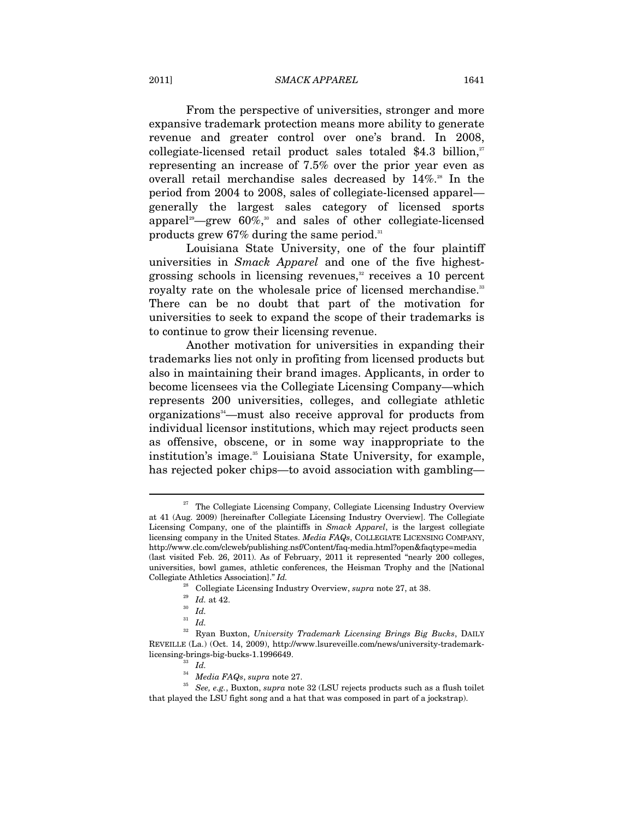#### 2011] *SMACK APPAREL* 1641

From the perspective of universities, stronger and more expansive trademark protection means more ability to generate revenue and greater control over one's brand. In 2008, collegiate-licensed retail product sales totaled \$4.3 billion, $x^2$ representing an increase of 7.5% over the prior year even as overall retail merchandise sales decreased by  $14\%$ <sup>28</sup>. In the period from 2004 to 2008, sales of collegiate-licensed apparel generally the largest sales category of licensed sports apparel<sup>29</sup>-grew 60%,<sup>30</sup> and sales of other collegiate-licensed products grew  $67\%$  during the same period.<sup>31</sup>

Louisiana State University, one of the four plaintiff universities in *Smack Apparel* and one of the five highestgrossing schools in licensing revenues, $32$  receives a 10 percent royalty rate on the wholesale price of licensed merchandise.<sup>33</sup> There can be no doubt that part of the motivation for universities to seek to expand the scope of their trademarks is to continue to grow their licensing revenue.

Another motivation for universities in expanding their trademarks lies not only in profiting from licensed products but also in maintaining their brand images. Applicants, in order to become licensees via the Collegiate Licensing Company—which represents 200 universities, colleges, and collegiate athletic organizations<sup>34</sup>—must also receive approval for products from individual licensor institutions, which may reject products seen as offensive, obscene, or in some way inappropriate to the institution's image.<sup>35</sup> Louisiana State University, for example, has rejected poker chips—to avoid association with gambling—

 $27$  The Collegiate Licensing Company, Collegiate Licensing Industry Overview at 41 (Aug. 2009) [hereinafter Collegiate Licensing Industry Overview]. The Collegiate Licensing Company, one of the plaintiffs in *Smack Apparel*, is the largest collegiate licensing company in the United States. *Media FAQs*, COLLEGIATE LICENSING COMPANY, http://www.clc.com/clcweb/publishing.nsf/Content/faq-media.html?open&faqtype=media (last visited Feb. 26, 2011). As of February, 2011 it represented "nearly 200 colleges, universities, bowl games, athletic conferences, the Heisman Trophy and the [National Collegiate Athletics Association]." *Id.*

<sup>28</sup> Collegiate Licensing Industry Overview, *supra* note 27, at 38. 29 *Id.* at 42. 30 *Id.*

<sup>31</sup> *Id.*

<sup>32</sup> Ryan Buxton, *University Trademark Licensing Brings Big Bucks*, DAILY REVEILLE (La.) (Oct. 14, 2009), http://www.lsureveille.com/news/university-trademarklicensing-brings-big-bucks-1.1996649. 33 *Id.*

 $^{35}\,$   $\,See,\,e.g.,$  Buxton,  $supra$  note 32 (LSU rejects products such as a flush toilet that played the LSU fight song and a hat that was composed in part of a jockstrap).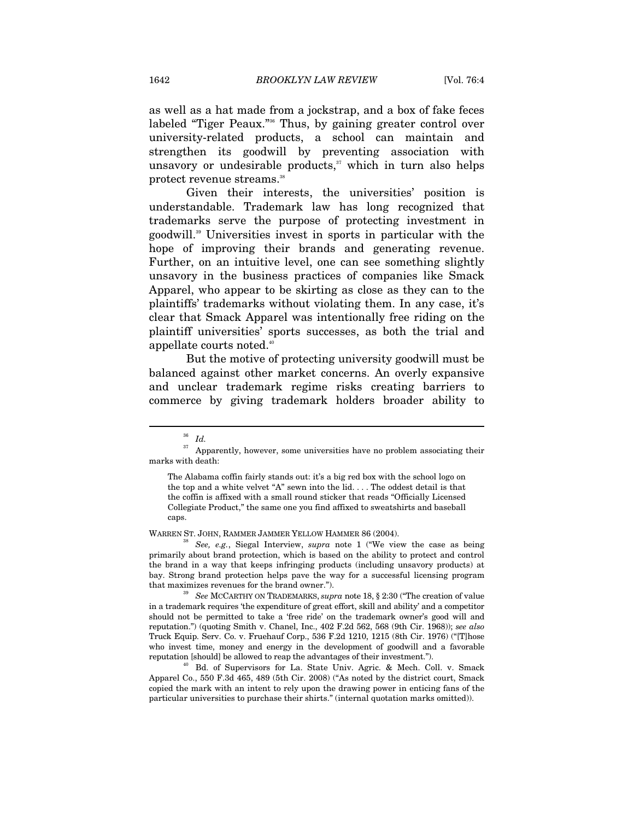as well as a hat made from a jockstrap, and a box of fake feces labeled "Tiger Peaux."<sup>36</sup> Thus, by gaining greater control over university-related products, a school can maintain and strengthen its goodwill by preventing association with unsavory or undesirable products, $37$  which in turn also helps protect revenue streams.<sup>38</sup>

Given their interests, the universities' position is understandable. Trademark law has long recognized that trademarks serve the purpose of protecting investment in goodwill.39 Universities invest in sports in particular with the hope of improving their brands and generating revenue. Further, on an intuitive level, one can see something slightly unsavory in the business practices of companies like Smack Apparel, who appear to be skirting as close as they can to the plaintiffs' trademarks without violating them. In any case, it's clear that Smack Apparel was intentionally free riding on the plaintiff universities' sports successes, as both the trial and appellate courts noted.<sup>40</sup>

But the motive of protecting university goodwill must be balanced against other market concerns. An overly expansive and unclear trademark regime risks creating barriers to commerce by giving trademark holders broader ability to

 $\overline{a}$ 

WARREN ST. JOHN, RAMMER JAMMER YELLOW HAMMER 86 (2004). 38 *See, e.g.*, Siegal Interview, *supra* note 1 ("We view the case as being primarily about brand protection, which is based on the ability to protect and control the brand in a way that keeps infringing products (including unsavory products) at bay. Strong brand protection helps pave the way for a successful licensing program that maximizes revenues for the brand owner."). 39 *See* MCCARTHY ON TRADEMARKS, *supra* note 18, § 2:30 ("The creation of value

in a trademark requires 'the expenditure of great effort, skill and ability' and a competitor should not be permitted to take a 'free ride' on the trademark owner's good will and reputation.") (quoting Smith v. Chanel, Inc., 402 F.2d 562, 568 (9th Cir. 1968)); *see also* Truck Equip. Serv. Co. v. Fruehauf Corp., 536 F.2d 1210, 1215 (8th Cir. 1976) ("[T]hose who invest time, money and energy in the development of goodwill and a favorable reputation [should] be allowed to reap the advantages of their investment."). 40 Bd. of Supervisors for La. State Univ. Agric. & Mech. Coll. v. Smack

Apparel Co., 550 F.3d 465, 489 (5th Cir. 2008) ("As noted by the district court, Smack copied the mark with an intent to rely upon the drawing power in enticing fans of the particular universities to purchase their shirts." (internal quotation marks omitted)).

<sup>36</sup> *Id.*

 $^\mathrm{37}$  Apparently, however, some universities have no problem associating their marks with death:

The Alabama coffin fairly stands out: it's a big red box with the school logo on the top and a white velvet "A" sewn into the lid. . . . The oddest detail is that the coffin is affixed with a small round sticker that reads "Officially Licensed Collegiate Product," the same one you find affixed to sweatshirts and baseball caps.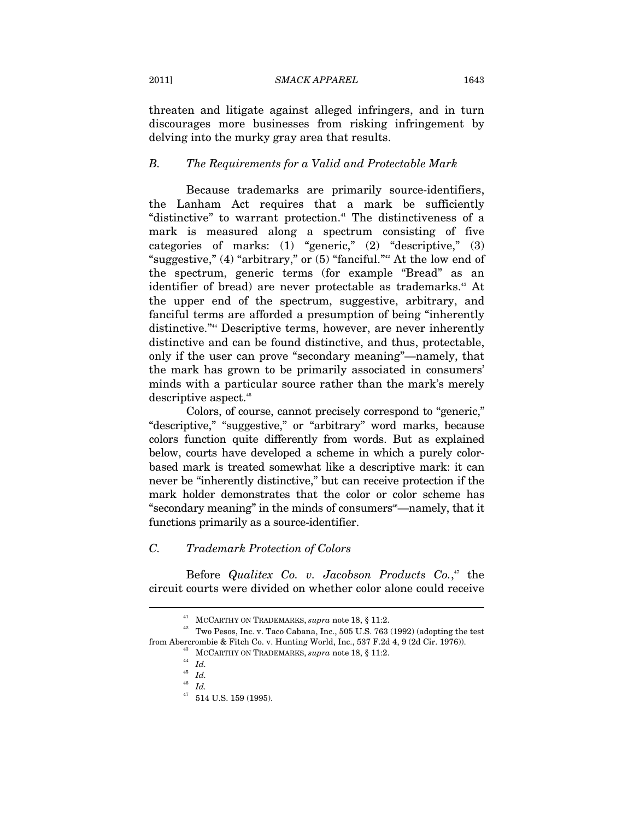threaten and litigate against alleged infringers, and in turn discourages more businesses from risking infringement by delving into the murky gray area that results.

#### *B. The Requirements for a Valid and Protectable Mark*

Because trademarks are primarily source-identifiers, the Lanham Act requires that a mark be sufficiently "distinctive" to warrant protection.<sup>41</sup> The distinctiveness of a mark is measured along a spectrum consisting of five categories of marks: (1) "generic," (2) "descriptive," (3) "suggestive,"  $(4)$  "arbitrary," or  $(5)$  "fanciful."<sup>42</sup> At the low end of the spectrum, generic terms (for example "Bread" as an identifier of bread) are never protectable as trademarks.<sup>43</sup> At the upper end of the spectrum, suggestive, arbitrary, and fanciful terms are afforded a presumption of being "inherently distinctive."44 Descriptive terms, however, are never inherently distinctive and can be found distinctive, and thus, protectable, only if the user can prove "secondary meaning"—namely, that the mark has grown to be primarily associated in consumers' minds with a particular source rather than the mark's merely descriptive aspect.<sup>45</sup>

Colors, of course, cannot precisely correspond to "generic," "descriptive," "suggestive," or "arbitrary" word marks, because colors function quite differently from words. But as explained below, courts have developed a scheme in which a purely colorbased mark is treated somewhat like a descriptive mark: it can never be "inherently distinctive," but can receive protection if the mark holder demonstrates that the color or color scheme has "secondary meaning" in the minds of consumers<sup>46</sup>—namely, that it functions primarily as a source-identifier.

## *C. Trademark Protection of Colors*

Before *Qualitex Co. v. Jacobson Products Co.*, 47 the circuit courts were divided on whether color alone could receive

 $^{41}$  MCCARTHY ON TRADEMARKS, *supra* note 18, § 11:2.<br> $^{42}$  Two Pesos, Inc. v. Taco Cabana, Inc., 505 U.S. 763 (1992) (adopting the test from Abercrombie & Fitch Co. v. Hunting World, Inc., 537 F.2d 4, 9 (2d Cir. 1976)).  $^{43}$  MCCARTHY ON TRADEMARKS, *supra* note 18, § 11:2.  $^{44}$  *Id.* 

<sup>45</sup> *Id.*

<sup>46</sup> *Id.*

 $^{47}$  514 U.S. 159 (1995).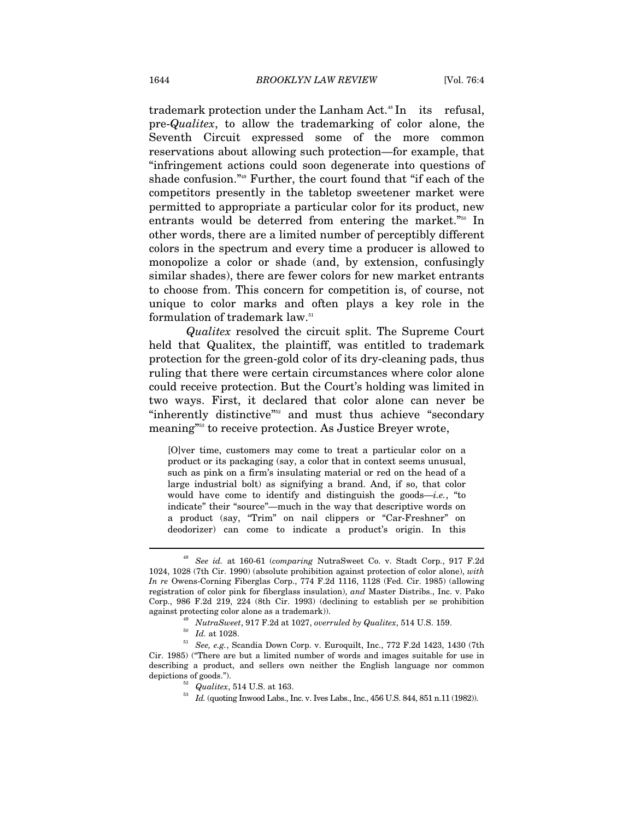trademark protection under the Lanham Act.<sup>48</sup> In its refusal, pre-*Qualitex*, to allow the trademarking of color alone, the Seventh Circuit expressed some of the more common reservations about allowing such protection—for example, that "infringement actions could soon degenerate into questions of shade confusion."49 Further, the court found that "if each of the competitors presently in the tabletop sweetener market were permitted to appropriate a particular color for its product, new entrants would be deterred from entering the market."<sup>50</sup> In other words, there are a limited number of perceptibly different colors in the spectrum and every time a producer is allowed to monopolize a color or shade (and, by extension, confusingly similar shades), there are fewer colors for new market entrants to choose from. This concern for competition is, of course, not unique to color marks and often plays a key role in the formulation of trademark law.51

*Qualitex* resolved the circuit split. The Supreme Court held that Qualitex, the plaintiff, was entitled to trademark protection for the green-gold color of its dry-cleaning pads, thus ruling that there were certain circumstances where color alone could receive protection. But the Court's holding was limited in two ways. First, it declared that color alone can never be "inherently distinctive"<sup>52</sup> and must thus achieve "secondary meaning"53 to receive protection. As Justice Breyer wrote,

[O]ver time, customers may come to treat a particular color on a product or its packaging (say, a color that in context seems unusual, such as pink on a firm's insulating material or red on the head of a large industrial bolt) as signifying a brand. And, if so, that color would have come to identify and distinguish the goods—*i.e.*, "to indicate" their "source"—much in the way that descriptive words on a product (say, "Trim" on nail clippers or "Car-Freshner" on deodorizer) can come to indicate a product's origin. In this

<sup>48</sup> *See id.* at 160-61 (*comparing* NutraSweet Co. v. Stadt Corp., 917 F.2d 1024, 1028 (7th Cir. 1990) (absolute prohibition against protection of color alone), *with In re* Owens-Corning Fiberglas Corp., 774 F.2d 1116, 1128 (Fed. Cir. 1985) (allowing registration of color pink for fiberglass insulation), *and* Master Distribs., Inc. v. Pako Corp., 986 F.2d 219, 224 (8th Cir. 1993) (declining to establish per se prohibition

<sup>%</sup> against protecting color alone as a trademark)).<br>
<sup>49</sup> NutraSweet, 917 F.2d at 1027, overruled by Qualitex, 514 U.S. 159.<br>
<sup>50</sup> Id. at 1028.<br>
<sup>51</sup> See, e.g., Scandia Down Corp. v. Euroquilt, Inc., 772 F.2d 1423, 1430 (7 Cir. 1985) ("There are but a limited number of words and images suitable for use in describing a product, and sellers own neither the English language nor common depictions of goods."). <br><sup>52</sup> *Qualitex*, 514 U.S. at 163.<br><sup>53</sup> *Id.* (quoting Inwood Labs., Inc. v. Ives Labs., Inc., 456 U.S. 844, 851 n.11 (1982)).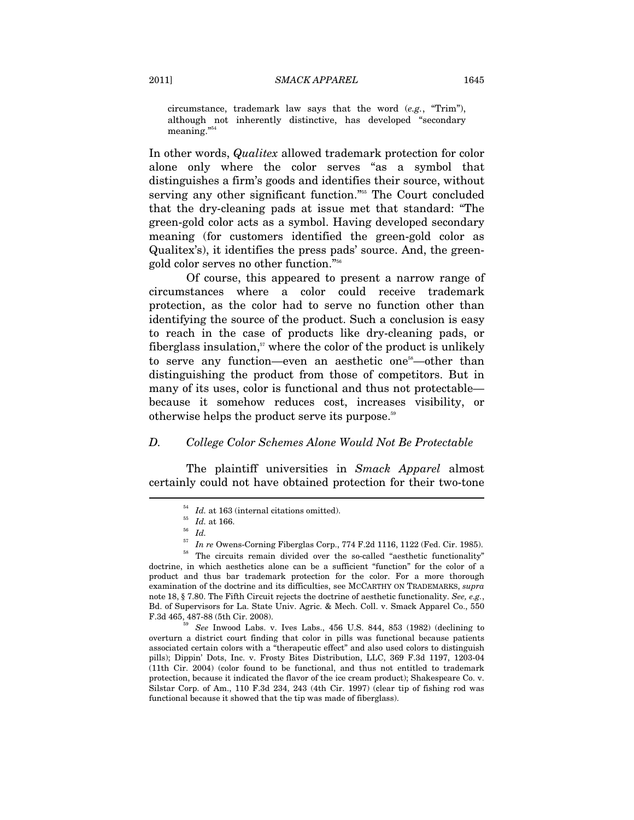circumstance, trademark law says that the word (*e.g.*, "Trim"), although not inherently distinctive, has developed "secondary meaning.'

In other words, *Qualitex* allowed trademark protection for color alone only where the color serves "as a symbol that distinguishes a firm's goods and identifies their source, without serving any other significant function."55 The Court concluded that the dry-cleaning pads at issue met that standard: "The green-gold color acts as a symbol. Having developed secondary meaning (for customers identified the green-gold color as Qualitex's), it identifies the press pads' source. And, the greengold color serves no other function."56

Of course, this appeared to present a narrow range of circumstances where a color could receive trademark protection, as the color had to serve no function other than identifying the source of the product. Such a conclusion is easy to reach in the case of products like dry-cleaning pads, or fiberglass insulation, $57$  where the color of the product is unlikely to serve any function—even an aesthetic one<sup>58</sup>—other than distinguishing the product from those of competitors. But in many of its uses, color is functional and thus not protectable because it somehow reduces cost, increases visibility, or otherwise helps the product serve its purpose.<sup>59</sup>

#### *D. College Color Schemes Alone Would Not Be Protectable*

The plaintiff universities in *Smack Apparel* almost certainly could not have obtained protection for their two-tone

 $^{54}$   $Id.$  at 163 (internal citations omitted).  $^{55}$   $Id.$  at 166.  $^{56}$   $Id.$ 

 $^{57}$  *In re* Owens-Corning Fiberglas Corp., 774 F.2d 1116, 1122 (Fed. Cir. 1985).<br><sup>58</sup> The circuits remain divided over the so-called "aesthetic functionality"

doctrine, in which aesthetics alone can be a sufficient "function" for the color of a product and thus bar trademark protection for the color. For a more thorough examination of the doctrine and its difficulties, see MCCARTHY ON TRADEMARKS, *supra* note 18, § 7.80. The Fifth Circuit rejects the doctrine of aesthetic functionality. *See, e.g.*, Bd. of Supervisors for La. State Univ. Agric. & Mech. Coll. v. Smack Apparel Co., 550

 $F<sup>59</sup>$  *See* Inwood Labs. v. Ives Labs., 456 U.S. 844, 853 (1982) (declining to overturn a district court finding that color in pills was functional because patients associated certain colors with a "therapeutic effect" and also used colors to distinguish pills); Dippin' Dots, Inc. v. Frosty Bites Distribution, LLC, 369 F.3d 1197, 1203-04 (11th Cir. 2004) (color found to be functional, and thus not entitled to trademark protection, because it indicated the flavor of the ice cream product); Shakespeare Co. v. Silstar Corp. of Am., 110 F.3d 234, 243 (4th Cir. 1997) (clear tip of fishing rod was functional because it showed that the tip was made of fiberglass).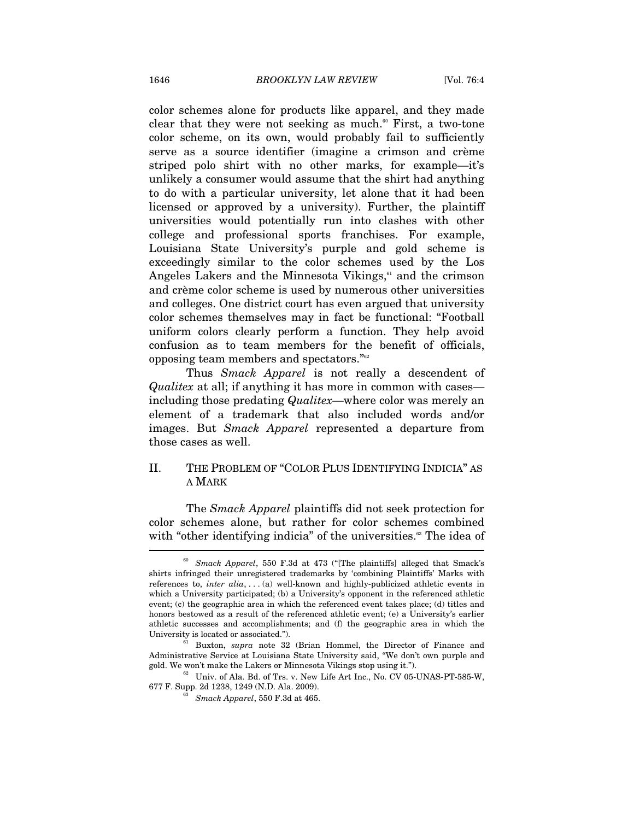color schemes alone for products like apparel, and they made clear that they were not seeking as much.<sup> $\omega$ </sup> First, a two-tone color scheme, on its own, would probably fail to sufficiently serve as a source identifier (imagine a crimson and crème striped polo shirt with no other marks, for example—it's unlikely a consumer would assume that the shirt had anything to do with a particular university, let alone that it had been licensed or approved by a university). Further, the plaintiff universities would potentially run into clashes with other college and professional sports franchises. For example, Louisiana State University's purple and gold scheme is exceedingly similar to the color schemes used by the Los Angeles Lakers and the Minnesota Vikings, $61$  and the crimson and crème color scheme is used by numerous other universities and colleges. One district court has even argued that university color schemes themselves may in fact be functional: "Football uniform colors clearly perform a function. They help avoid confusion as to team members for the benefit of officials, opposing team members and spectators."62

Thus *Smack Apparel* is not really a descendent of *Qualitex* at all; if anything it has more in common with cases including those predating *Qualitex*—where color was merely an element of a trademark that also included words and/or images. But *Smack Apparel* represented a departure from those cases as well.

## II. THE PROBLEM OF "COLOR PLUS IDENTIFYING INDICIA" AS A MARK

The *Smack Apparel* plaintiffs did not seek protection for color schemes alone, but rather for color schemes combined with "other identifying indicia" of the universities.<sup>63</sup> The idea of

<sup>60</sup> *Smack Apparel*, 550 F.3d at 473 ("[The plaintiffs] alleged that Smack's shirts infringed their unregistered trademarks by 'combining Plaintiffs' Marks with references to, *inter alia*, . . . (a) well-known and highly-publicized athletic events in which a University participated; (b) a University's opponent in the referenced athletic event; (c) the geographic area in which the referenced event takes place; (d) titles and honors bestowed as a result of the referenced athletic event; (e) a University's earlier athletic successes and accomplishments; and (f) the geographic area in which the University is located or associated.").  $61\atop{61}$  Buxton,  $supra$  note 32 (Brian Hommel, the Director of Finance and

Administrative Service at Louisiana State University said, "We don't own purple and gold. We won't make the Lakers or Minnesota Vikings stop using it.").<br><sup>62</sup> Univ. of Ala. Bd. of Trs. v. New Life Art Inc., No. CV 05-UNAS-PT-585-W,

<sup>677</sup> F. Supp. 2d 1238, 1249 (N.D. Ala. 2009). 63 *Smack Apparel*, 550 F.3d at 465.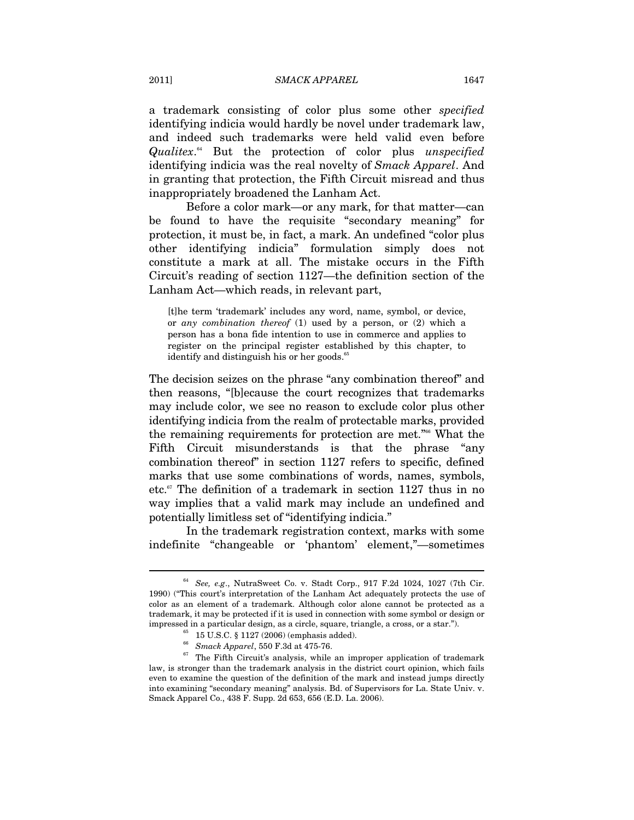a trademark consisting of color plus some other *specified*  identifying indicia would hardly be novel under trademark law, and indeed such trademarks were held valid even before *Qualitex*. 64 But the protection of color plus *unspecified*  identifying indicia was the real novelty of *Smack Apparel*. And in granting that protection, the Fifth Circuit misread and thus inappropriately broadened the Lanham Act.

Before a color mark—or any mark, for that matter—can be found to have the requisite "secondary meaning" for protection, it must be, in fact, a mark. An undefined "color plus other identifying indicia" formulation simply does not constitute a mark at all. The mistake occurs in the Fifth Circuit's reading of section 1127—the definition section of the Lanham Act—which reads, in relevant part,

[t]he term 'trademark' includes any word, name, symbol, or device, or *any combination thereof* (1) used by a person, or (2) which a person has a bona fide intention to use in commerce and applies to register on the principal register established by this chapter, to identify and distinguish his or her goods.<sup>65</sup>

The decision seizes on the phrase "any combination thereof" and then reasons, "[b]ecause the court recognizes that trademarks may include color, we see no reason to exclude color plus other identifying indicia from the realm of protectable marks, provided the remaining requirements for protection are met."66 What the Fifth Circuit misunderstands is that the phrase "any combination thereof" in section 1127 refers to specific, defined marks that use some combinations of words, names, symbols, etc. $67$  The definition of a trademark in section 1127 thus in no way implies that a valid mark may include an undefined and potentially limitless set of "identifying indicia."

In the trademark registration context, marks with some indefinite "changeable or 'phantom' element,"—sometimes

<sup>64</sup> *See, e.g*., NutraSweet Co. v. Stadt Corp., 917 F.2d 1024, 1027 (7th Cir. 1990) ("This court's interpretation of the Lanham Act adequately protects the use of color as an element of a trademark. Although color alone cannot be protected as a trademark, it may be protected if it is used in connection with some symbol or design or impressed in a particular design, as a circle, square, triangle, a cross, or a star.").  $^{65}_{\phantom{6}6}$  15 U.S.C. § 1127 (2006) (emphasis added).  $^{66}_{\phantom{6}6}$   $Smach\, Apparel,$  550 F.3d at 475-76.

<sup>&</sup>lt;sup>67</sup> The Fifth Circuit's analysis, while an improper application of trademark law, is stronger than the trademark analysis in the district court opinion, which fails even to examine the question of the definition of the mark and instead jumps directly into examining "secondary meaning" analysis. Bd. of Supervisors for La. State Univ. v. Smack Apparel Co., 438 F. Supp. 2d 653, 656 (E.D. La. 2006).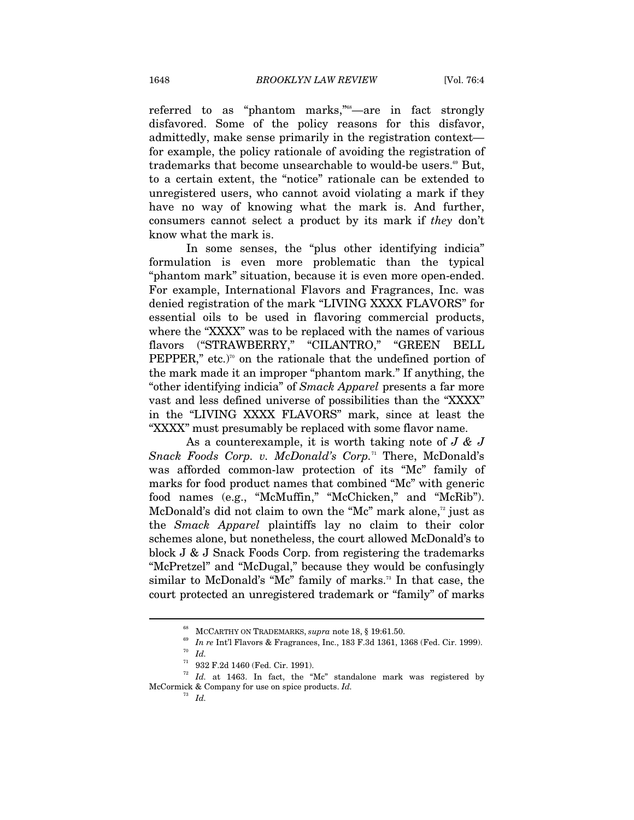referred to as "phantom marks,"<sup>68</sup>—are in fact strongly disfavored. Some of the policy reasons for this disfavor, admittedly, make sense primarily in the registration context for example, the policy rationale of avoiding the registration of trademarks that become unsearchable to would-be users.<sup>69</sup> But, to a certain extent, the "notice" rationale can be extended to unregistered users, who cannot avoid violating a mark if they have no way of knowing what the mark is. And further, consumers cannot select a product by its mark if *they* don't know what the mark is.

In some senses, the "plus other identifying indicia" formulation is even more problematic than the typical "phantom mark" situation, because it is even more open-ended. For example, International Flavors and Fragrances, Inc. was denied registration of the mark "LIVING XXXX FLAVORS" for essential oils to be used in flavoring commercial products, where the "XXXX" was to be replaced with the names of various flavors ("STRAWBERRY," "CILANTRO," "GREEN BELL PEPPER," etc.)<sup>70</sup> on the rationale that the undefined portion of the mark made it an improper "phantom mark." If anything, the "other identifying indicia" of *Smack Apparel* presents a far more vast and less defined universe of possibilities than the "XXXX" in the "LIVING XXXX FLAVORS" mark, since at least the "XXXX" must presumably be replaced with some flavor name.

As a counterexample, it is worth taking note of *J & J Snack Foods Corp. v. McDonald's Corp.*71 There, McDonald's was afforded common-law protection of its "Mc" family of marks for food product names that combined "Mc" with generic food names (e.g., "McMuffin," "McChicken," and "McRib"). McDonald's did not claim to own the "Mc" mark alone, $\alpha$  just as the *Smack Apparel* plaintiffs lay no claim to their color schemes alone, but nonetheless, the court allowed McDonald's to block J & J Snack Foods Corp. from registering the trademarks "McPretzel" and "McDugal," because they would be confusingly similar to McDonald's "Mc" family of marks.<sup>73</sup> In that case, the court protected an unregistered trademark or "family" of marks

<sup>&</sup>lt;sup>68</sup> MCCARTHY ON TRADEMARKS, *supra* note 18, § 19:61.50.<br><sup>69</sup> *In re* Int'l Flavors & Fragrances, Inc., 183 F.3d 1361, 1368 (Fed. Cir. 1999).<br><sup>70</sup> *Id.* 932 F.2d 1460 (Fed. Cir. 1991).

<sup>72</sup> *Id.* at 1463. In fact, the "Mc" standalone mark was registered by McCormick & Company for use on spice products. *Id.*

<sup>73</sup> *Id.*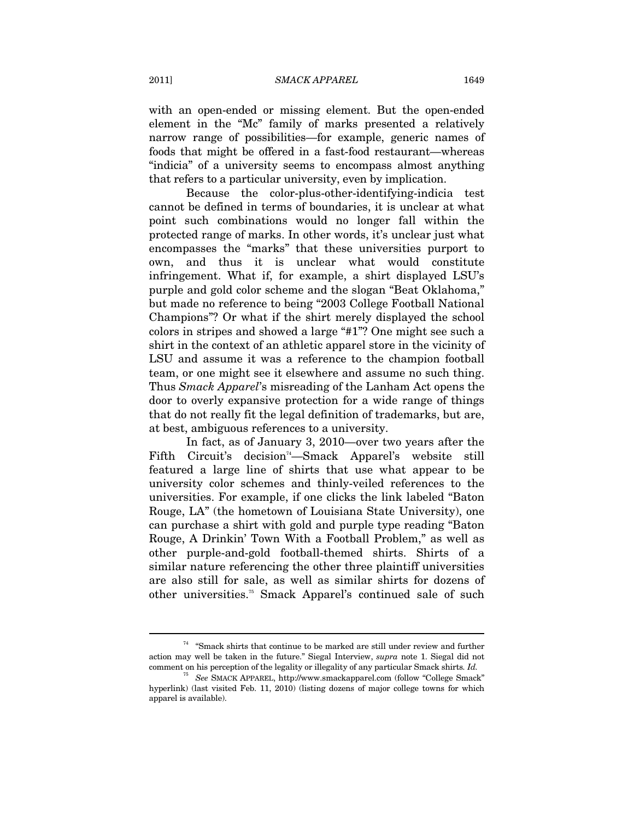with an open-ended or missing element. But the open-ended element in the "Mc" family of marks presented a relatively narrow range of possibilities—for example, generic names of foods that might be offered in a fast-food restaurant—whereas "indicia" of a university seems to encompass almost anything that refers to a particular university, even by implication.

Because the color-plus-other-identifying-indicia test cannot be defined in terms of boundaries, it is unclear at what point such combinations would no longer fall within the protected range of marks. In other words, it's unclear just what encompasses the "marks" that these universities purport to own, and thus it is unclear what would constitute infringement. What if, for example, a shirt displayed LSU's purple and gold color scheme and the slogan "Beat Oklahoma," but made no reference to being "2003 College Football National Champions"? Or what if the shirt merely displayed the school colors in stripes and showed a large "#1"? One might see such a shirt in the context of an athletic apparel store in the vicinity of LSU and assume it was a reference to the champion football team, or one might see it elsewhere and assume no such thing. Thus *Smack Apparel*'s misreading of the Lanham Act opens the door to overly expansive protection for a wide range of things that do not really fit the legal definition of trademarks, but are, at best, ambiguous references to a university.

In fact, as of January 3, 2010—over two years after the Fifth Circuit's decision<sup>74</sup>—Smack Apparel's website still featured a large line of shirts that use what appear to be university color schemes and thinly-veiled references to the universities. For example, if one clicks the link labeled "Baton Rouge, LA" (the hometown of Louisiana State University), one can purchase a shirt with gold and purple type reading "Baton Rouge, A Drinkin' Town With a Football Problem," as well as other purple-and-gold football-themed shirts. Shirts of a similar nature referencing the other three plaintiff universities are also still for sale, as well as similar shirts for dozens of other universities.75 Smack Apparel's continued sale of such

 $^\mathrm{74}$  "Smack shirts that continue to be marked are still under review and further action may well be taken in the future." Siegal Interview, *supra* note 1. Siegal did not comment on his perception of the legality or illegality of any particular Smack shirts*. Id.*

<sup>75</sup> *See* SMACK APPAREL, http://www.smackapparel.com (follow "College Smack" hyperlink) (last visited Feb. 11, 2010) (listing dozens of major college towns for which apparel is available).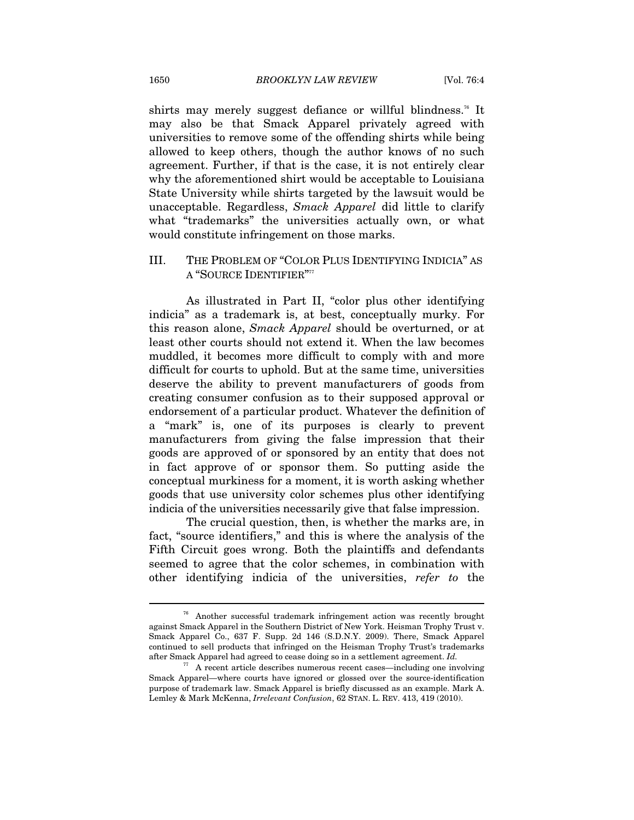shirts may merely suggest defiance or willful blindness.<sup>76</sup> It may also be that Smack Apparel privately agreed with universities to remove some of the offending shirts while being allowed to keep others, though the author knows of no such agreement. Further, if that is the case, it is not entirely clear why the aforementioned shirt would be acceptable to Louisiana State University while shirts targeted by the lawsuit would be unacceptable. Regardless, *Smack Apparel* did little to clarify what "trademarks" the universities actually own, or what would constitute infringement on those marks.

III. THE PROBLEM OF "COLOR PLUS IDENTIFYING INDICIA" AS A "SOURCE IDENTIFIER"<sup>77</sup>

As illustrated in Part II, "color plus other identifying indicia" as a trademark is, at best, conceptually murky. For this reason alone, *Smack Apparel* should be overturned, or at least other courts should not extend it. When the law becomes muddled, it becomes more difficult to comply with and more difficult for courts to uphold. But at the same time, universities deserve the ability to prevent manufacturers of goods from creating consumer confusion as to their supposed approval or endorsement of a particular product. Whatever the definition of a "mark" is, one of its purposes is clearly to prevent manufacturers from giving the false impression that their goods are approved of or sponsored by an entity that does not in fact approve of or sponsor them. So putting aside the conceptual murkiness for a moment, it is worth asking whether goods that use university color schemes plus other identifying indicia of the universities necessarily give that false impression.

The crucial question, then, is whether the marks are, in fact, "source identifiers," and this is where the analysis of the Fifth Circuit goes wrong. Both the plaintiffs and defendants seemed to agree that the color schemes, in combination with other identifying indicia of the universities, *refer to* the

<sup>76</sup> Another successful trademark infringement action was recently brought against Smack Apparel in the Southern District of New York. Heisman Trophy Trust v. Smack Apparel Co., 637 F. Supp. 2d 146 (S.D.N.Y. 2009). There, Smack Apparel continued to sell products that infringed on the Heisman Trophy Trust's trademarks after Smack Apparel had agreed to cease doing so in a settlement agreement. *Id.*

<sup>77</sup> A recent article describes numerous recent cases—including one involving Smack Apparel—where courts have ignored or glossed over the source-identification purpose of trademark law. Smack Apparel is briefly discussed as an example. Mark A. Lemley & Mark McKenna, *Irrelevant Confusion*, 62 STAN. L. REV. 413, 419 (2010).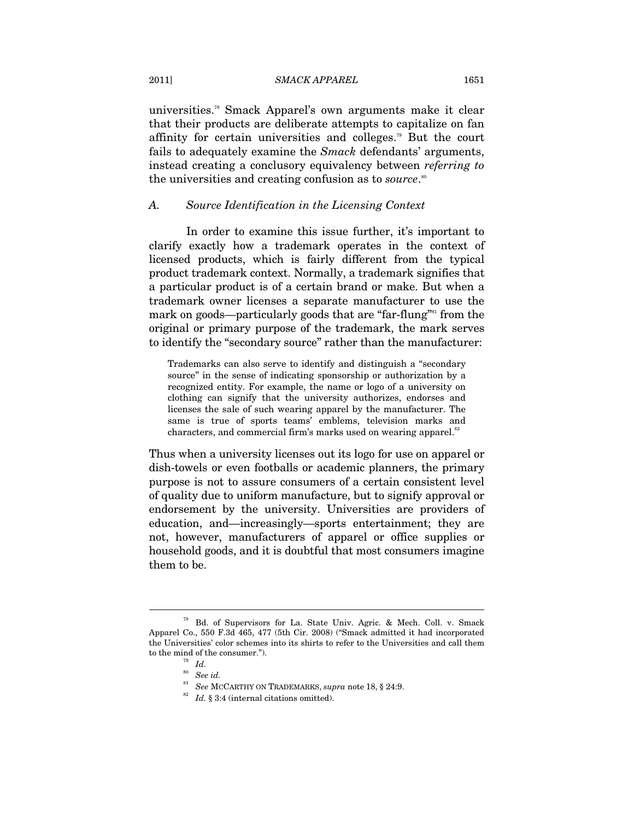universities.78 Smack Apparel's own arguments make it clear that their products are deliberate attempts to capitalize on fan affinity for certain universities and colleges.79 But the court fails to adequately examine the *Smack* defendants' arguments, instead creating a conclusory equivalency between *referring to* the universities and creating confusion as to *source*.<sup>80</sup>

#### *A. Source Identification in the Licensing Context*

In order to examine this issue further, it's important to clarify exactly how a trademark operates in the context of licensed products, which is fairly different from the typical product trademark context. Normally, a trademark signifies that a particular product is of a certain brand or make. But when a trademark owner licenses a separate manufacturer to use the mark on goods—particularly goods that are "far-flung"<sup>81</sup> from the original or primary purpose of the trademark, the mark serves to identify the "secondary source" rather than the manufacturer:

Trademarks can also serve to identify and distinguish a "secondary source" in the sense of indicating sponsorship or authorization by a recognized entity. For example, the name or logo of a university on clothing can signify that the university authorizes, endorses and licenses the sale of such wearing apparel by the manufacturer. The same is true of sports teams' emblems, television marks and characters, and commercial firm's marks used on wearing apparel.<sup>82</sup>

Thus when a university licenses out its logo for use on apparel or dish-towels or even footballs or academic planners, the primary purpose is not to assure consumers of a certain consistent level of quality due to uniform manufacture, but to signify approval or endorsement by the university. Universities are providers of education, and—increasingly—sports entertainment; they are not, however, manufacturers of apparel or office supplies or household goods, and it is doubtful that most consumers imagine them to be.

<sup>78</sup> Bd. of Supervisors for La. State Univ. Agric. & Mech. Coll. v. Smack Apparel Co., 550 F.3d 465, 477 (5th Cir. 2008) ("Smack admitted it had incorporated the Universities' color schemes into its shirts to refer to the Universities and call them to the mind of the consumer.").<br> $\frac{79}{Id}$ .

<sup>80</sup> *See id.*

 $^{81}$  See MCCARTHY ON TRADEMARKS,  $supra$  note 18,  $\S$  24:9.  $^{82}$   $Id.$   $\S$  3:4 (internal citations omitted).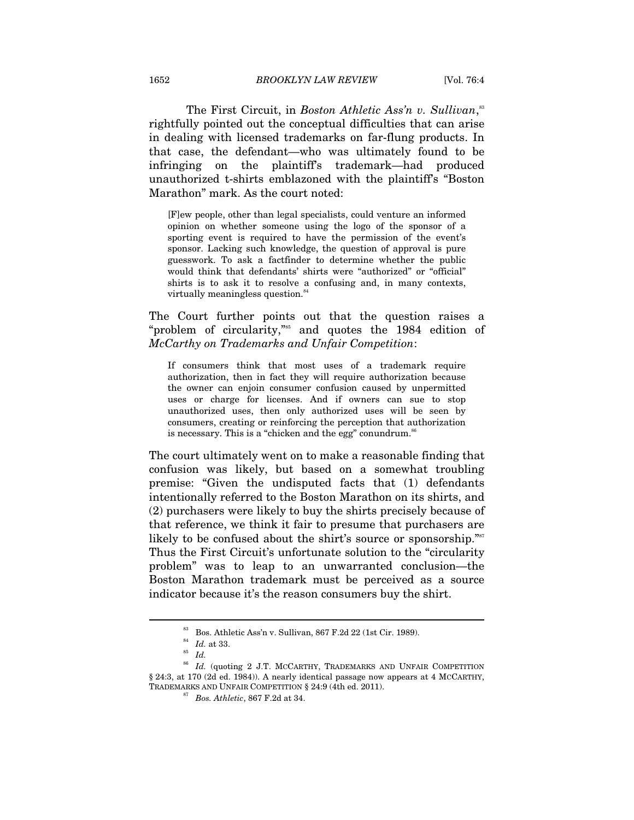The First Circuit, in *Boston Athletic Ass'n v. Sullivan*,<sup>33</sup> rightfully pointed out the conceptual difficulties that can arise in dealing with licensed trademarks on far-flung products. In that case, the defendant—who was ultimately found to be infringing on the plaintiff's trademark—had produced unauthorized t-shirts emblazoned with the plaintiff's "Boston Marathon" mark. As the court noted:

[F]ew people, other than legal specialists, could venture an informed opinion on whether someone using the logo of the sponsor of a sporting event is required to have the permission of the event's sponsor. Lacking such knowledge, the question of approval is pure guesswork. To ask a factfinder to determine whether the public would think that defendants' shirts were "authorized" or "official" shirts is to ask it to resolve a confusing and, in many contexts, virtually meaningless question.<sup>84</sup>

The Court further points out that the question raises a "problem of circularity,"85 and quotes the 1984 edition of *McCarthy on Trademarks and Unfair Competition*:

If consumers think that most uses of a trademark require authorization, then in fact they will require authorization because the owner can enjoin consumer confusion caused by unpermitted uses or charge for licenses. And if owners can sue to stop unauthorized uses, then only authorized uses will be seen by consumers, creating or reinforcing the perception that authorization is necessary. This is a "chicken and the egg" conundrum. $86$ 

The court ultimately went on to make a reasonable finding that confusion was likely, but based on a somewhat troubling premise: "Given the undisputed facts that (1) defendants intentionally referred to the Boston Marathon on its shirts, and (2) purchasers were likely to buy the shirts precisely because of that reference, we think it fair to presume that purchasers are likely to be confused about the shirt's source or sponsorship."<sup>87</sup> Thus the First Circuit's unfortunate solution to the "circularity problem" was to leap to an unwarranted conclusion—the Boston Marathon trademark must be perceived as a source indicator because it's the reason consumers buy the shirt.

<sup>83</sup> Bos. Athletic Ass'n v. Sullivan, 867 F.2d 22 (1st Cir. 1989).

<sup>84</sup> *Id.* at 33. 85 *Id.*

<sup>86</sup> *Id.* (quoting 2 J.T. MCCARTHY, TRADEMARKS AND UNFAIR COMPETITION § 24:3, at 170 (2d ed. 1984)). A nearly identical passage now appears at 4 MCCARTHY, TRADEMARKS AND UNFAIR COMPETITION § 24:9 (4th ed. 2011). 87 *Bos. Athletic*, 867 F.2d at 34.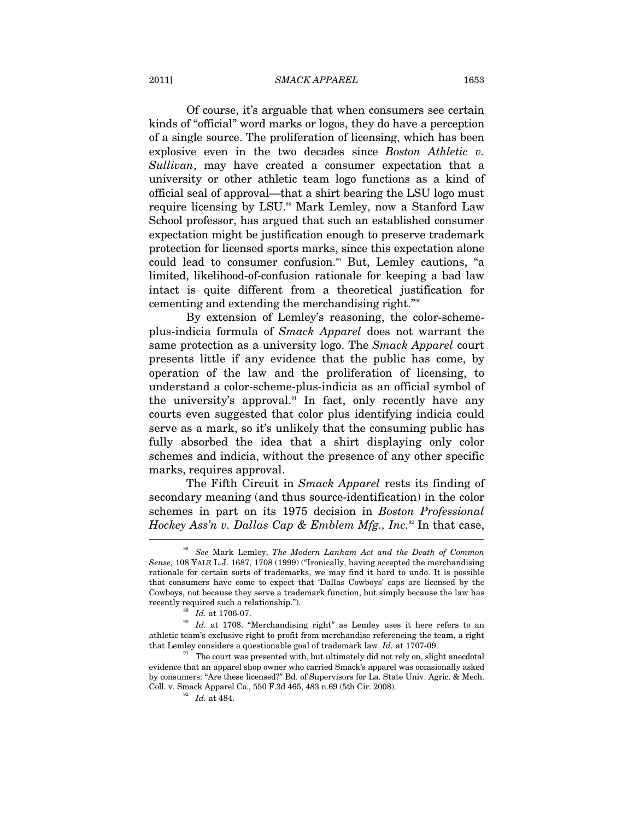#### 2011] *SMACK APPAREL* 1653

Of course, it's arguable that when consumers see certain kinds of "official" word marks or logos, they do have a perception of a single source. The proliferation of licensing, which has been explosive even in the two decades since *Boston Athletic v. Sullivan*, may have created a consumer expectation that a university or other athletic team logo functions as a kind of official seal of approval—that a shirt bearing the LSU logo must require licensing by LSU.<sup>88</sup> Mark Lemley, now a Stanford Law School professor, has argued that such an established consumer expectation might be justification enough to preserve trademark protection for licensed sports marks, since this expectation alone could lead to consumer confusion.<sup>89</sup> But, Lemley cautions, "a limited, likelihood-of-confusion rationale for keeping a bad law intact is quite different from a theoretical justification for cementing and extending the merchandising right."90

By extension of Lemley's reasoning, the color-schemeplus-indicia formula of *Smack Apparel* does not warrant the same protection as a university logo. The *Smack Apparel* court presents little if any evidence that the public has come, by operation of the law and the proliferation of licensing, to understand a color-scheme-plus-indicia as an official symbol of the university's approval.<sup>91</sup> In fact, only recently have any courts even suggested that color plus identifying indicia could serve as a mark, so it's unlikely that the consuming public has fully absorbed the idea that a shirt displaying only color schemes and indicia, without the presence of any other specific marks, requires approval.

The Fifth Circuit in *Smack Apparel* rests its finding of secondary meaning (and thus source-identification) in the color schemes in part on its 1975 decision in *Boston Professional Hockey Ass'n v. Dallas Cap & Emblem Mfg., Inc.*<sup>92</sup> In that case,

<sup>88</sup> *See* Mark Lemley, *The Modern Lanham Act and the Death of Common Sense*, 108 YALE L.J. 1687, 1708 (1999) ("Ironically, having accepted the merchandising rationale for certain sorts of trademarks, we may find it hard to undo. It is possible that consumers have come to expect that 'Dallas Cowboys' caps are licensed by the Cowboys, not because they serve a trademark function, but simply because the law has

recently required such a relationship.").<br><sup>89</sup> *Id.* at 1706-07.<br><sup>90</sup> *Id.* at 1708. "Merchandising right" as Lemley uses it here refers to an athletic team's exclusive right to profit from merchandise referencing the team, a right that Lemley considers a questionable goal of trademark law. *Id.* at 1707-09.<br><sup>91</sup> The court was presented with, but ultimately did not rely on, slight anecdotal

evidence that an apparel shop owner who carried Smack's apparel was occasionally asked by consumers: "Are these licensed?" Bd. of Supervisors for La. State Univ. Agric. & Mech. Coll. v. Smack Apparel Co., 550 F.3d 465, 483 n.69 (5th Cir. 2008). *Id.* at 484.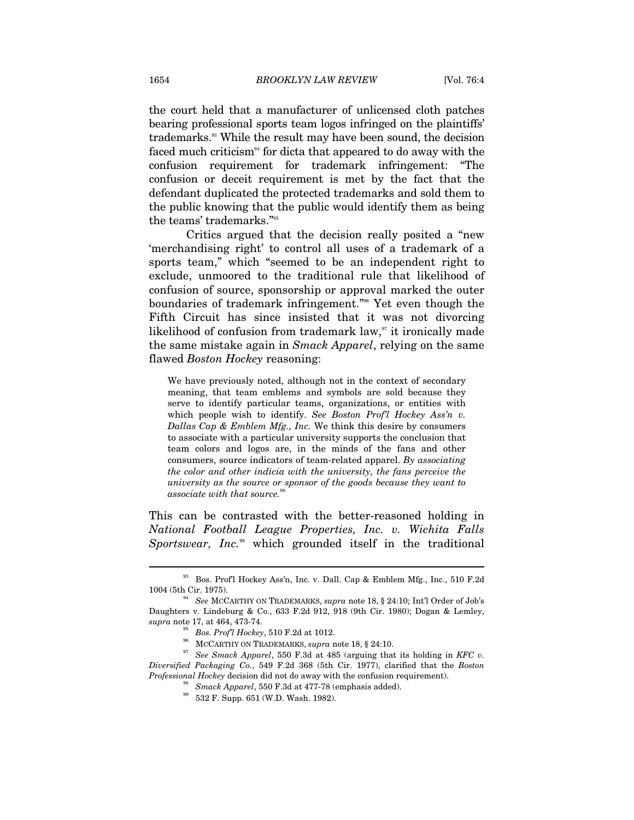the court held that a manufacturer of unlicensed cloth patches bearing professional sports team logos infringed on the plaintiffs' trademarks.93 While the result may have been sound, the decision faced much criticism<sup>94</sup> for dicta that appeared to do away with the confusion requirement for trademark infringement: "The confusion or deceit requirement is met by the fact that the defendant duplicated the protected trademarks and sold them to the public knowing that the public would identify them as being the teams' trademarks."95

Critics argued that the decision really posited a "new 'merchandising right' to control all uses of a trademark of a sports team," which "seemed to be an independent right to exclude, unmoored to the traditional rule that likelihood of confusion of source, sponsorship or approval marked the outer boundaries of trademark infringement."96 Yet even though the Fifth Circuit has since insisted that it was not divorcing likelihood of confusion from trademark law, $\alpha$ <sup>x</sup> it ironically made the same mistake again in *Smack Apparel*, relying on the same flawed *Boston Hockey* reasoning:

We have previously noted, although not in the context of secondary meaning, that team emblems and symbols are sold because they serve to identify particular teams, organizations, or entities with which people wish to identify. *See Boston Prof'l Hockey Ass'n v. Dallas Cap & Emblem Mfg., Inc.* We think this desire by consumers to associate with a particular university supports the conclusion that team colors and logos are, in the minds of the fans and other consumers, source indicators of team-related apparel. *By associating the color and other indicia with the university, the fans perceive the university as the source or sponsor of the goods because they want to associate with that source.*<sup>9</sup>

This can be contrasted with the better-reasoned holding in *National Football League Properties, Inc. v. Wichita Falls Sportswear, Inc.*99 which grounded itself in the traditional

<sup>93</sup> Bos. Prof'l Hockey Ass'n, Inc. v. Dall. Cap & Emblem Mfg., Inc., 510 F.2d 1004 (5th Cir. 1975). 94 *See* MCCARTHY ON TRADEMARKS, *supra* note 18, § 24:10; Int'l Order of Job's

Daughters v. Lindeburg & Co., 633 F.2d 912, 918 (9th Cir. 1980); Dogan & Lemley, supra note 17, at 464, 473-74.<br>
<sup>95</sup> Bos. Prof<sup>7</sup>l Hockey, 510 F.2d at 1012.<br>
<sup>96</sup> MCCARTHY ON TRADEMARKS, *supra* note 18, § 24:10.<br>
<sup>97</sup> See Smack Apparel, 550 F.3d at 485 (arguing that its holding in KFC v.

*Diversified Packaging Co.*, 549 F.2d 368 (5th Cir. 1977), clarified that the *Boston Professional Hockey* decision did not do away with the confusion requirement). 98 *Smack Apparel*, 550 F.3d at 477-78 (emphasis added). 99 532 F. Supp. 651 (W.D. Wash. 1982).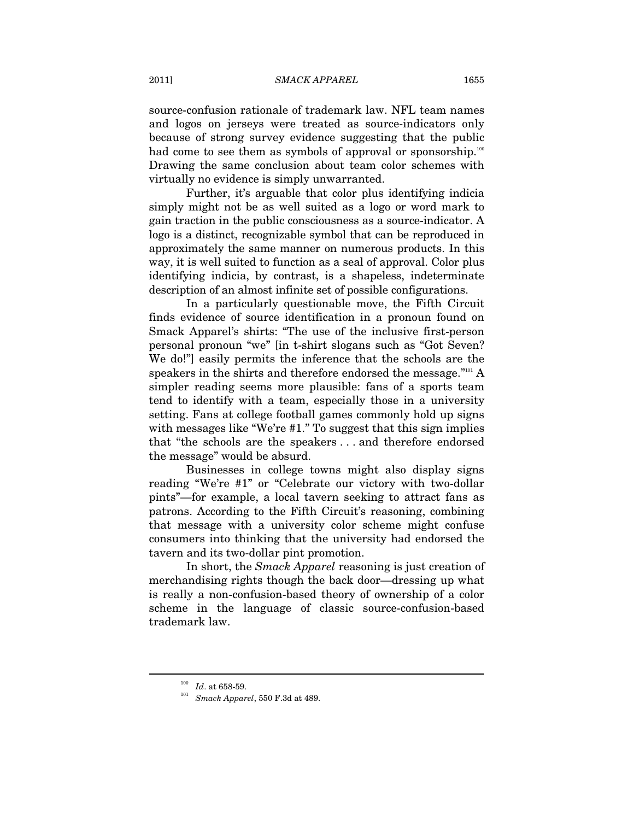source-confusion rationale of trademark law. NFL team names and logos on jerseys were treated as source-indicators only because of strong survey evidence suggesting that the public had come to see them as symbols of approval or sponsorship.<sup>100</sup> Drawing the same conclusion about team color schemes with virtually no evidence is simply unwarranted.

Further, it's arguable that color plus identifying indicia simply might not be as well suited as a logo or word mark to gain traction in the public consciousness as a source-indicator. A logo is a distinct, recognizable symbol that can be reproduced in approximately the same manner on numerous products. In this way, it is well suited to function as a seal of approval. Color plus identifying indicia, by contrast, is a shapeless, indeterminate description of an almost infinite set of possible configurations.

In a particularly questionable move, the Fifth Circuit finds evidence of source identification in a pronoun found on Smack Apparel's shirts: "The use of the inclusive first-person personal pronoun "we" [in t-shirt slogans such as "Got Seven? We do!"] easily permits the inference that the schools are the speakers in the shirts and therefore endorsed the message."<sup>101</sup> A simpler reading seems more plausible: fans of a sports team tend to identify with a team, especially those in a university setting. Fans at college football games commonly hold up signs with messages like "We're #1." To suggest that this sign implies that "the schools are the speakers . . . and therefore endorsed the message" would be absurd.

Businesses in college towns might also display signs reading "We're #1" or "Celebrate our victory with two-dollar pints"—for example, a local tavern seeking to attract fans as patrons. According to the Fifth Circuit's reasoning, combining that message with a university color scheme might confuse consumers into thinking that the university had endorsed the tavern and its two-dollar pint promotion.

In short, the *Smack Apparel* reasoning is just creation of merchandising rights though the back door—dressing up what is really a non-confusion-based theory of ownership of a color scheme in the language of classic source-confusion-based trademark law.

<sup>100</sup> *Id*. at 658-59. 101 *Smack Apparel*, 550 F.3d at 489.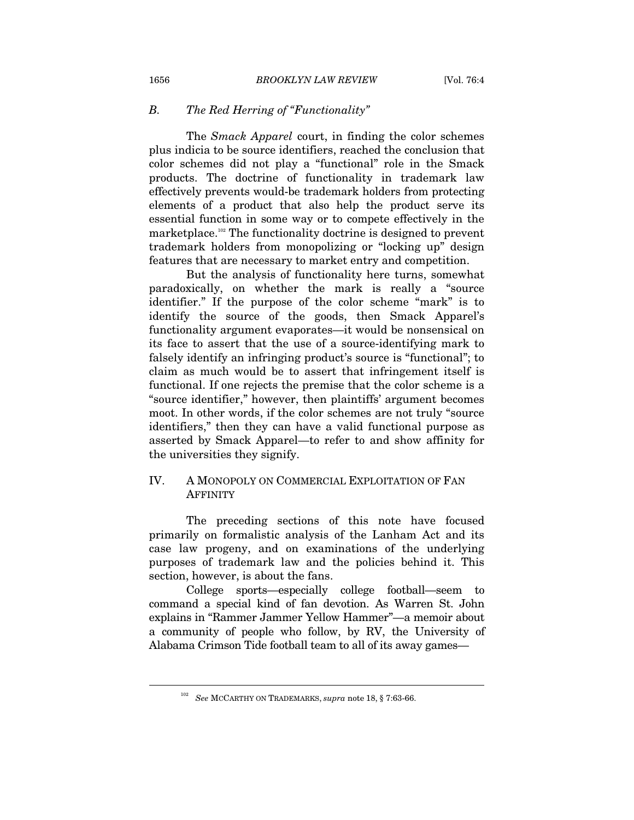## *B. The Red Herring of "Functionality"*

The *Smack Apparel* court, in finding the color schemes plus indicia to be source identifiers, reached the conclusion that color schemes did not play a "functional" role in the Smack products. The doctrine of functionality in trademark law effectively prevents would-be trademark holders from protecting elements of a product that also help the product serve its essential function in some way or to compete effectively in the marketplace.102 The functionality doctrine is designed to prevent trademark holders from monopolizing or "locking up" design features that are necessary to market entry and competition.

But the analysis of functionality here turns, somewhat paradoxically, on whether the mark is really a "source identifier." If the purpose of the color scheme "mark" is to identify the source of the goods, then Smack Apparel's functionality argument evaporates—it would be nonsensical on its face to assert that the use of a source-identifying mark to falsely identify an infringing product's source is "functional"; to claim as much would be to assert that infringement itself is functional. If one rejects the premise that the color scheme is a "source identifier," however, then plaintiffs' argument becomes moot. In other words, if the color schemes are not truly "source identifiers," then they can have a valid functional purpose as asserted by Smack Apparel—to refer to and show affinity for the universities they signify.

## IV. A MONOPOLY ON COMMERCIAL EXPLOITATION OF FAN **AFFINITY**

The preceding sections of this note have focused primarily on formalistic analysis of the Lanham Act and its case law progeny, and on examinations of the underlying purposes of trademark law and the policies behind it. This section, however, is about the fans.

College sports—especially college football—seem to command a special kind of fan devotion. As Warren St. John explains in "Rammer Jammer Yellow Hammer"—a memoir about a community of people who follow, by RV, the University of Alabama Crimson Tide football team to all of its away games—

<sup>102</sup> *See* MCCARTHY ON TRADEMARKS, *supra* note 18, § 7:63-66.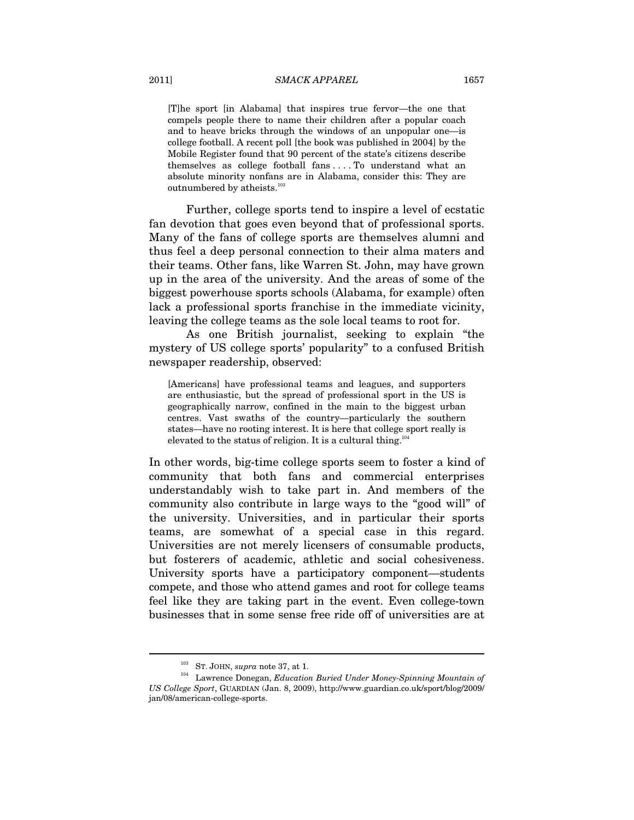[T]he sport [in Alabama] that inspires true fervor—the one that compels people there to name their children after a popular coach and to heave bricks through the windows of an unpopular one—is college football. A recent poll [the book was published in 2004] by the Mobile Register found that 90 percent of the state's citizens describe themselves as college football fans . . . . To understand what an absolute minority nonfans are in Alabama, consider this: They are outnumbered by atheists.<sup>103</sup>

Further, college sports tend to inspire a level of ecstatic fan devotion that goes even beyond that of professional sports. Many of the fans of college sports are themselves alumni and thus feel a deep personal connection to their alma maters and their teams. Other fans, like Warren St. John, may have grown up in the area of the university. And the areas of some of the biggest powerhouse sports schools (Alabama, for example) often lack a professional sports franchise in the immediate vicinity, leaving the college teams as the sole local teams to root for.

As one British journalist, seeking to explain "the mystery of US college sports' popularity" to a confused British newspaper readership, observed:

[Americans] have professional teams and leagues, and supporters are enthusiastic, but the spread of professional sport in the US is geographically narrow, confined in the main to the biggest urban centres. Vast swaths of the country—particularly the southern states—have no rooting interest. It is here that college sport really is elevated to the status of religion. It is a cultural thing.<sup>104</sup>

In other words, big-time college sports seem to foster a kind of community that both fans and commercial enterprises understandably wish to take part in. And members of the community also contribute in large ways to the "good will" of the university. Universities, and in particular their sports teams, are somewhat of a special case in this regard. Universities are not merely licensers of consumable products, but fosterers of academic, athletic and social cohesiveness. University sports have a participatory component—students compete, and those who attend games and root for college teams feel like they are taking part in the event. Even college-town businesses that in some sense free ride off of universities are at

<sup>&</sup>lt;sup>103</sup> ST. JOHN, *supra* note 37, at 1.<br><sup>104</sup> Lawrence Donegan, *Education Buried Under Money-Spinning Mountain of US College Sport*, GUARDIAN (Jan. 8, 2009), http://www.guardian.co.uk/sport/blog/2009/ jan/08/american-college-sports.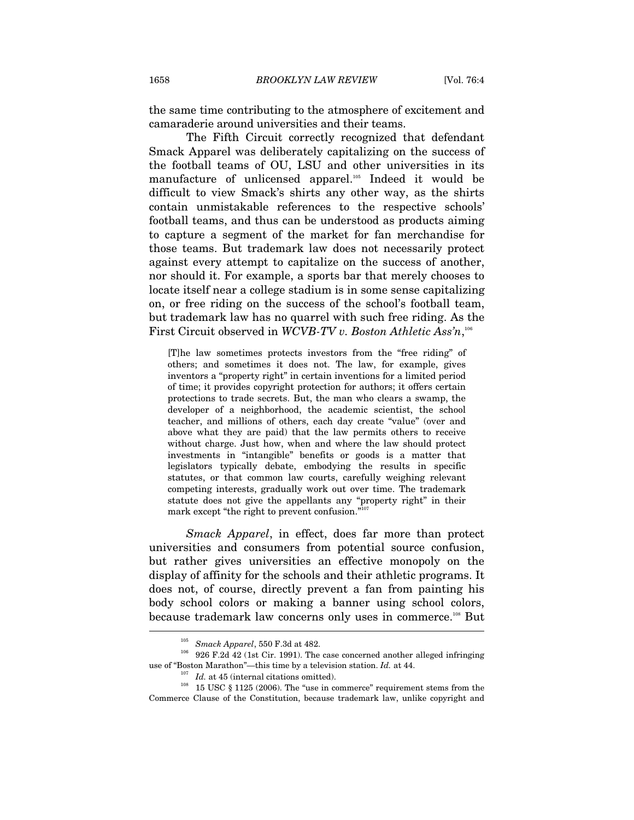the same time contributing to the atmosphere of excitement and camaraderie around universities and their teams.

The Fifth Circuit correctly recognized that defendant Smack Apparel was deliberately capitalizing on the success of the football teams of OU, LSU and other universities in its manufacture of unlicensed apparel.<sup>105</sup> Indeed it would be difficult to view Smack's shirts any other way, as the shirts contain unmistakable references to the respective schools' football teams, and thus can be understood as products aiming to capture a segment of the market for fan merchandise for those teams. But trademark law does not necessarily protect against every attempt to capitalize on the success of another, nor should it. For example, a sports bar that merely chooses to locate itself near a college stadium is in some sense capitalizing on, or free riding on the success of the school's football team, but trademark law has no quarrel with such free riding. As the First Circuit observed in *WCVB-TV v. Boston Athletic Ass'n*, 106

[T]he law sometimes protects investors from the "free riding" of others; and sometimes it does not. The law, for example, gives inventors a "property right" in certain inventions for a limited period of time; it provides copyright protection for authors; it offers certain protections to trade secrets. But, the man who clears a swamp, the developer of a neighborhood, the academic scientist, the school teacher, and millions of others, each day create "value" (over and above what they are paid) that the law permits others to receive without charge. Just how, when and where the law should protect investments in "intangible" benefits or goods is a matter that legislators typically debate, embodying the results in specific statutes, or that common law courts, carefully weighing relevant competing interests, gradually work out over time. The trademark statute does not give the appellants any "property right" in their mark except "the right to prevent confusion."<sup>107</sup>

*Smack Apparel*, in effect, does far more than protect universities and consumers from potential source confusion, but rather gives universities an effective monopoly on the display of affinity for the schools and their athletic programs. It does not, of course, directly prevent a fan from painting his body school colors or making a banner using school colors, because trademark law concerns only uses in commerce.<sup>108</sup> But

<sup>&</sup>lt;sup>105</sup> *Smack Apparel*, 550 F.3d at 482.<br><sup>106</sup> 926 F.2d 42 (1st Cir. 1991). The case concerned another alleged infringing use of "Boston Marathon"—this time by a television station. *Id.* at 44.<br><sup>107</sup> *Id.* at 45 (internal citations omitted). 108 15 USC § 1125 (2006). The "use in commerce" requirement stems from the

Commerce Clause of the Constitution, because trademark law, unlike copyright and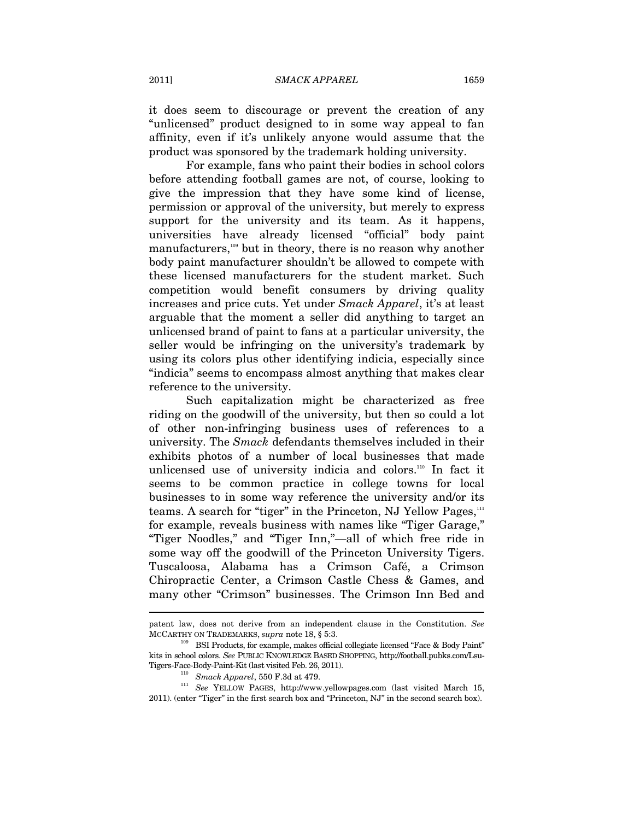it does seem to discourage or prevent the creation of any "unlicensed" product designed to in some way appeal to fan affinity, even if it's unlikely anyone would assume that the product was sponsored by the trademark holding university.

For example, fans who paint their bodies in school colors before attending football games are not, of course, looking to give the impression that they have some kind of license, permission or approval of the university, but merely to express support for the university and its team. As it happens, universities have already licensed "official" body paint manufacturers,<sup>109</sup> but in theory, there is no reason why another body paint manufacturer shouldn't be allowed to compete with these licensed manufacturers for the student market. Such competition would benefit consumers by driving quality increases and price cuts. Yet under *Smack Apparel*, it's at least arguable that the moment a seller did anything to target an unlicensed brand of paint to fans at a particular university, the seller would be infringing on the university's trademark by using its colors plus other identifying indicia, especially since "indicia" seems to encompass almost anything that makes clear reference to the university.

Such capitalization might be characterized as free riding on the goodwill of the university, but then so could a lot of other non-infringing business uses of references to a university. The *Smack* defendants themselves included in their exhibits photos of a number of local businesses that made unlicensed use of university indicia and colors.<sup>110</sup> In fact it seems to be common practice in college towns for local businesses to in some way reference the university and/or its teams. A search for "tiger" in the Princeton, NJ Yellow Pages, $111$ for example, reveals business with names like "Tiger Garage," "Tiger Noodles," and "Tiger Inn,"—all of which free ride in some way off the goodwill of the Princeton University Tigers. Tuscaloosa, Alabama has a Crimson Café, a Crimson Chiropractic Center, a Crimson Castle Chess & Games, and many other "Crimson" businesses. The Crimson Inn Bed and

patent law, does not derive from an independent clause in the Constitution. *See* 

MCCARTHY ON TRADEMARKS, *supra* note 18, § 5:3.<br><sup>109</sup> BSI Products, for example, makes official collegiate licensed "Face & Body Paint" kits in school colors. *See* PUBLIC KNOWLEDGE BASED SHOPPING, http://football.pubks.com/Lsu-

Tigers-Face-Body-Paint-Kit (last visited Feb. 26, 2011).<br><sup>110</sup> *Smack Apparel*, 550 F.3d at 479.<br><sup>111</sup> *See* YELLOW PAGES, http://www.yellowpages.com (last visited March 15, 2011). (enter "Tiger" in the first search box and "Princeton, NJ" in the second search box).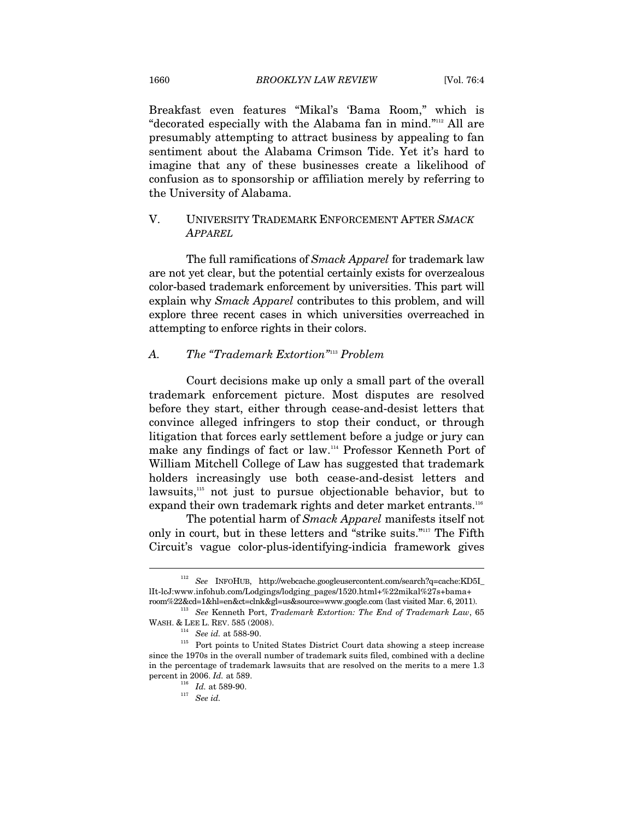Breakfast even features "Mikal's 'Bama Room," which is "decorated especially with the Alabama fan in mind."112 All are presumably attempting to attract business by appealing to fan sentiment about the Alabama Crimson Tide. Yet it's hard to imagine that any of these businesses create a likelihood of confusion as to sponsorship or affiliation merely by referring to the University of Alabama.

## V. UNIVERSITY TRADEMARK ENFORCEMENT AFTER *SMACK APPAREL*

The full ramifications of *Smack Apparel* for trademark law are not yet clear, but the potential certainly exists for overzealous color-based trademark enforcement by universities. This part will explain why *Smack Apparel* contributes to this problem, and will explore three recent cases in which universities overreached in attempting to enforce rights in their colors.

## *A. The "Trademark Extortion"*113 *Problem*

Court decisions make up only a small part of the overall trademark enforcement picture. Most disputes are resolved before they start, either through cease-and-desist letters that convince alleged infringers to stop their conduct, or through litigation that forces early settlement before a judge or jury can make any findings of fact or law.114 Professor Kenneth Port of William Mitchell College of Law has suggested that trademark holders increasingly use both cease-and-desist letters and lawsuits,<sup>115</sup> not just to pursue objectionable behavior, but to expand their own trademark rights and deter market entrants.<sup>116</sup>

The potential harm of *Smack Apparel* manifests itself not only in court, but in these letters and "strike suits."<sup>117</sup> The Fifth Circuit's vague color-plus-identifying-indicia framework gives

<sup>112</sup> *See* INFOHUB, http://webcache.googleusercontent.com/search?q=cache:KD5I\_ lIt-lcJ:www.infohub.com/Lodgings/lodging\_pages/1520.html+%22mikal%27s+bama+

room%22&cd=1&hl=en&ct=clnk&gl=us&source=www.google.com (last visited Mar. 6, 2011). 113 *See* Kenneth Port, *Trademark Extortion: The End of Trademark Law*, 65

WASH. & LEE L. REV. 585 (2008).  $^{114}$  *See id.* at 588-90. Port points to United States District Court data showing a steep increase since the 1970s in the overall number of trademark suits filed, combined with a decline in the percentage of trademark lawsuits that are resolved on the merits to a mere 1.3 percent in 2006.  $Id$ . at 589.

percent in 2006. *Id.* at 589. 116 *Id.* at 589-90. 117 *See id.*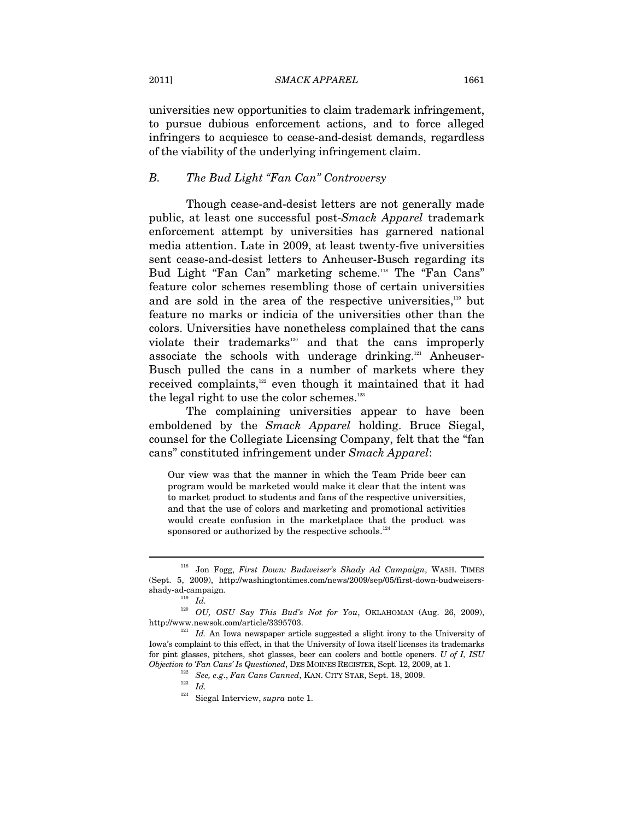2011] *SMACK APPAREL* 1661

universities new opportunities to claim trademark infringement, to pursue dubious enforcement actions, and to force alleged infringers to acquiesce to cease-and-desist demands, regardless of the viability of the underlying infringement claim.

## *B. The Bud Light "Fan Can" Controversy*

Though cease-and-desist letters are not generally made public, at least one successful post-*Smack Apparel* trademark enforcement attempt by universities has garnered national media attention. Late in 2009, at least twenty-five universities sent cease-and-desist letters to Anheuser-Busch regarding its Bud Light "Fan Can" marketing scheme.<sup>118</sup> The "Fan Cans" feature color schemes resembling those of certain universities and are sold in the area of the respective universities,<sup>119</sup> but feature no marks or indicia of the universities other than the colors. Universities have nonetheless complained that the cans violate their trademarks<sup>120</sup> and that the cans improperly associate the schools with underage drinking.121 Anheuser-Busch pulled the cans in a number of markets where they received complaints,122 even though it maintained that it had the legal right to use the color schemes.<sup>123</sup>

The complaining universities appear to have been emboldened by the *Smack Apparel* holding. Bruce Siegal, counsel for the Collegiate Licensing Company, felt that the "fan cans" constituted infringement under *Smack Apparel*:

Our view was that the manner in which the Team Pride beer can program would be marketed would make it clear that the intent was to market product to students and fans of the respective universities, and that the use of colors and marketing and promotional activities would create confusion in the marketplace that the product was sponsored or authorized by the respective schools.<sup>12</sup>

<sup>118</sup> Jon Fogg, *First Down: Budweiser's Shady Ad Campaign*, WASH. TIMES (Sept. 5, 2009), http://washingtontimes.com/news/2009/sep/05/first-down-budweisers- $\qquad \qquad \text{shady-ad-campaign.}\qquad \qquad \text{Id.}$ 

<sup>120</sup> *OU, OSU Say This Bud's Not for You*, OKLAHOMAN (Aug. 26, 2009), http://www.newsok.com/article/3395703. 121 *Id.* An Iowa newspaper article suggested a slight irony to the University of

Iowa's complaint to this effect, in that the University of Iowa itself licenses its trademarks for pint glasses, pitchers, shot glasses, beer can coolers and bottle openers. *U of I, ISU Objection to 'Fan Cans' Is Questioned*, DES MOINES REGISTER, Sept. 12, 2009, at 1. <sup>122</sup> *See, e.g., Fan Cans Canned*, KAN. CITY STAR, Sept. 18, 2009. <sup>123</sup> *Id.* 

<sup>124</sup> Siegal Interview, *supra* note 1.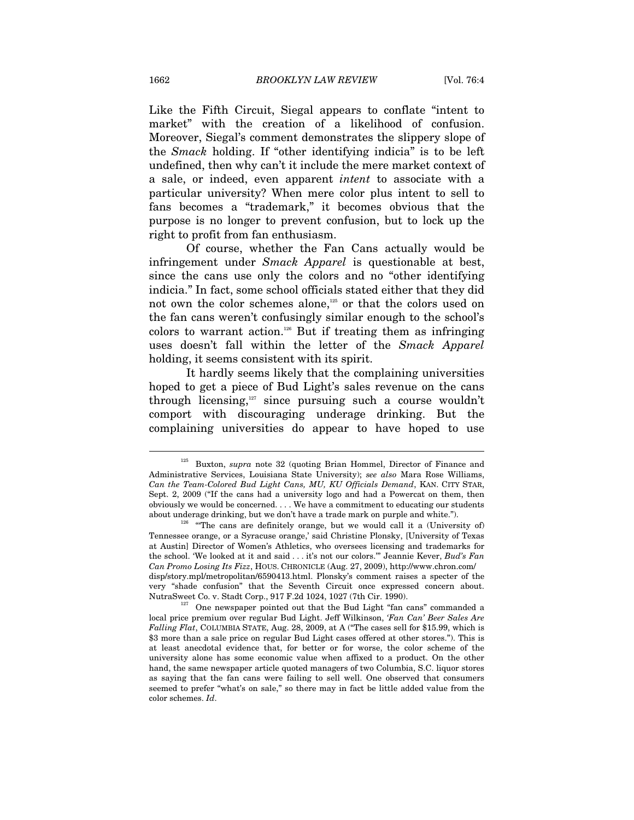Like the Fifth Circuit, Siegal appears to conflate "intent to market" with the creation of a likelihood of confusion. Moreover, Siegal's comment demonstrates the slippery slope of the *Smack* holding. If "other identifying indicia" is to be left undefined, then why can't it include the mere market context of a sale, or indeed, even apparent *intent* to associate with a particular university? When mere color plus intent to sell to fans becomes a "trademark," it becomes obvious that the purpose is no longer to prevent confusion, but to lock up the right to profit from fan enthusiasm.

Of course, whether the Fan Cans actually would be infringement under *Smack Apparel* is questionable at best, since the cans use only the colors and no "other identifying indicia." In fact, some school officials stated either that they did not own the color schemes alone,<sup>125</sup> or that the colors used on the fan cans weren't confusingly similar enough to the school's colors to warrant action.<sup>126</sup> But if treating them as infringing uses doesn't fall within the letter of the *Smack Apparel*  holding, it seems consistent with its spirit.

It hardly seems likely that the complaining universities hoped to get a piece of Bud Light's sales revenue on the cans through licensing, $127$  since pursuing such a course wouldn't comport with discouraging underage drinking. But the complaining universities do appear to have hoped to use

<sup>125</sup> Buxton, *supra* note 32 (quoting Brian Hommel, Director of Finance and Administrative Services, Louisiana State University); *see also* Mara Rose Williams, *Can the Team-Colored Bud Light Cans, MU, KU Officials Demand*, KAN. CITY STAR, Sept. 2, 2009 ("If the cans had a university logo and had a Powercat on them, then obviously we would be concerned. . . . We have a commitment to educating our students about underage drinking, but we don't have a trade mark on purple and white.").<br><sup>126</sup> "The cans are definitely orange, but we would call it a (University of)

Tennessee orange, or a Syracuse orange,' said Christine Plonsky, [University of Texas at Austin] Director of Women's Athletics, who oversees licensing and trademarks for the school. 'We looked at it and said . . . it's not our colors.'" Jeannie Kever, *Bud's Fan Can Promo Losing Its Fizz*, HOUS. CHRONICLE (Aug. 27, 2009), http://www.chron.com/ disp/story.mpl/metropolitan/6590413.html. Plonsky's comment raises a specter of the very "shade confusion" that the Seventh Circuit once expressed concern about. NutraSweet Co. v. Stadt Corp., 917 F.2d 1024, 1027 (7th Cir. 1990).

 $\frac{127}{127}$  One newspaper pointed out that the Bud Light "fan cans" commanded a local price premium over regular Bud Light. Jeff Wilkinson, *'Fan Can' Beer Sales Are Falling Flat*, COLUMBIA STATE, Aug. 28, 2009, at A ("The cases sell for \$15.99, which is \$3 more than a sale price on regular Bud Light cases offered at other stores."). This is at least anecdotal evidence that, for better or for worse, the color scheme of the university alone has some economic value when affixed to a product. On the other hand, the same newspaper article quoted managers of two Columbia, S.C. liquor stores as saying that the fan cans were failing to sell well. One observed that consumers seemed to prefer "what's on sale," so there may in fact be little added value from the color schemes. *Id*.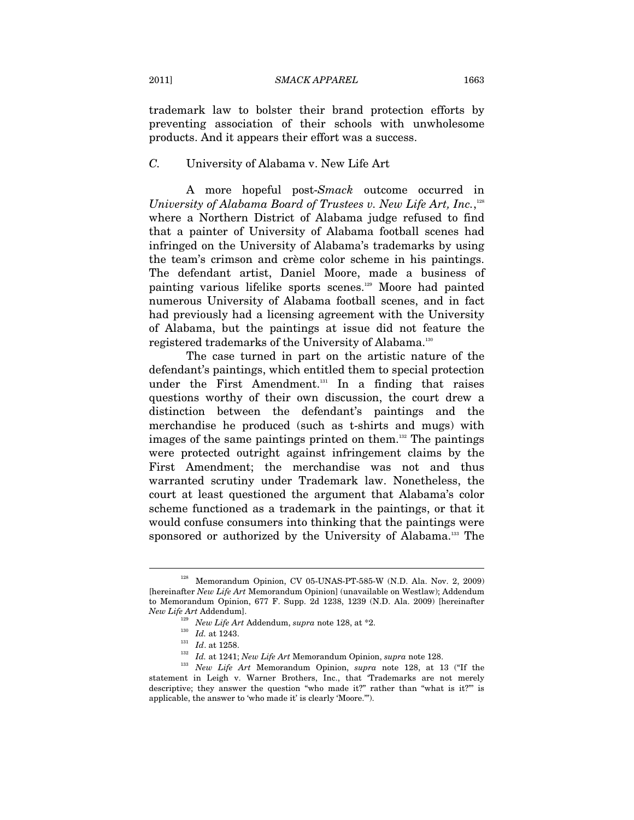trademark law to bolster their brand protection efforts by preventing association of their schools with unwholesome products. And it appears their effort was a success.

### *C.* University of Alabama v. New Life Art

A more hopeful post-*Smack* outcome occurred in *University of Alabama Board of Trustees v. New Life Art, Inc.*,<sup>128</sup> where a Northern District of Alabama judge refused to find that a painter of University of Alabama football scenes had infringed on the University of Alabama's trademarks by using the team's crimson and crème color scheme in his paintings. The defendant artist, Daniel Moore, made a business of painting various lifelike sports scenes.129 Moore had painted numerous University of Alabama football scenes, and in fact had previously had a licensing agreement with the University of Alabama, but the paintings at issue did not feature the registered trademarks of the University of Alabama.130

The case turned in part on the artistic nature of the defendant's paintings, which entitled them to special protection under the First Amendment.<sup>131</sup> In a finding that raises questions worthy of their own discussion, the court drew a distinction between the defendant's paintings and the merchandise he produced (such as t-shirts and mugs) with images of the same paintings printed on them.<sup>132</sup> The paintings were protected outright against infringement claims by the First Amendment; the merchandise was not and thus warranted scrutiny under Trademark law. Nonetheless, the court at least questioned the argument that Alabama's color scheme functioned as a trademark in the paintings, or that it would confuse consumers into thinking that the paintings were sponsored or authorized by the University of Alabama.<sup>133</sup> The

<sup>128</sup> Memorandum Opinion, CV 05-UNAS-PT-585-W (N.D. Ala. Nov. 2, 2009) [hereinafter *New Life Art* Memorandum Opinion] (unavailable on Westlaw); Addendum to Memorandum Opinion, 677 F. Supp. 2d 1238, 1239 (N.D. Ala. 2009) [hereinafter *New Life Art* Addendum].

<sup>&</sup>lt;sup>129</sup> *New Life Art* Addendum, *supra* note 128, at \*2.<br><sup>130</sup> *Id.* at 1243.

*Id.* at 1243. 131 *Id*. at 1258. 132 *Id.* at 1241; *New Life Art* Memorandum Opinion, *supra* note 128. 133 *New Life Art* Memorandum Opinion, *supra* note 128, at 13 ("If the statement in Leigh v. Warner Brothers, Inc., that 'Trademarks are not merely descriptive; they answer the question "who made it?" rather than "what is it?"' is applicable, the answer to 'who made it' is clearly 'Moore.'").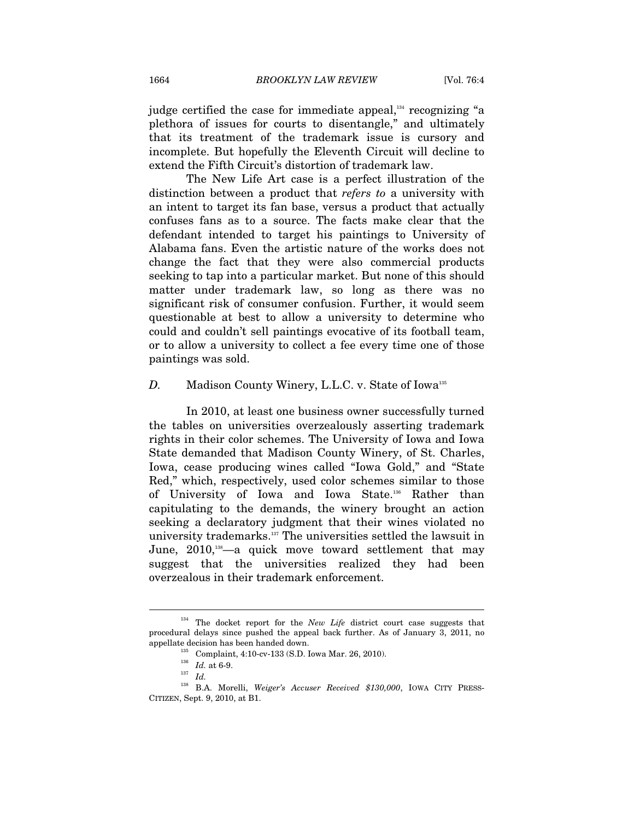judge certified the case for immediate appeal, $134$  recognizing "a plethora of issues for courts to disentangle," and ultimately that its treatment of the trademark issue is cursory and incomplete. But hopefully the Eleventh Circuit will decline to extend the Fifth Circuit's distortion of trademark law.

The New Life Art case is a perfect illustration of the distinction between a product that *refers to* a university with an intent to target its fan base, versus a product that actually confuses fans as to a source. The facts make clear that the defendant intended to target his paintings to University of Alabama fans. Even the artistic nature of the works does not change the fact that they were also commercial products seeking to tap into a particular market. But none of this should matter under trademark law, so long as there was no significant risk of consumer confusion. Further, it would seem questionable at best to allow a university to determine who could and couldn't sell paintings evocative of its football team, or to allow a university to collect a fee every time one of those paintings was sold.

#### *D.* Madison County Winery, L.L.C. v. State of Iowa<sup>135</sup>

In 2010, at least one business owner successfully turned the tables on universities overzealously asserting trademark rights in their color schemes. The University of Iowa and Iowa State demanded that Madison County Winery, of St. Charles, Iowa, cease producing wines called "Iowa Gold," and "State Red," which, respectively, used color schemes similar to those of University of Iowa and Iowa State.136 Rather than capitulating to the demands, the winery brought an action seeking a declaratory judgment that their wines violated no university trademarks.137 The universities settled the lawsuit in June, 2010,<sup>138</sup>—a quick move toward settlement that may suggest that the universities realized they had been overzealous in their trademark enforcement.

<sup>&</sup>lt;sup>134</sup> The docket report for the *New Life* district court case suggests that procedural delays since pushed the appeal back further. As of January 3, 2011, no appellate decision has been handed down.<br><sup>135</sup> Complaint, 4:10-cv-133 (S.D. Iowa Mar. 26, 2010).<br><sup>136</sup> *Id.* at 6-9.<br>*Id.* 

<sup>138</sup> B.A. Morelli, *Weiger's Accuser Received \$130,000*, IOWA CITY PRESS-CITIZEN, Sept. 9, 2010, at B1.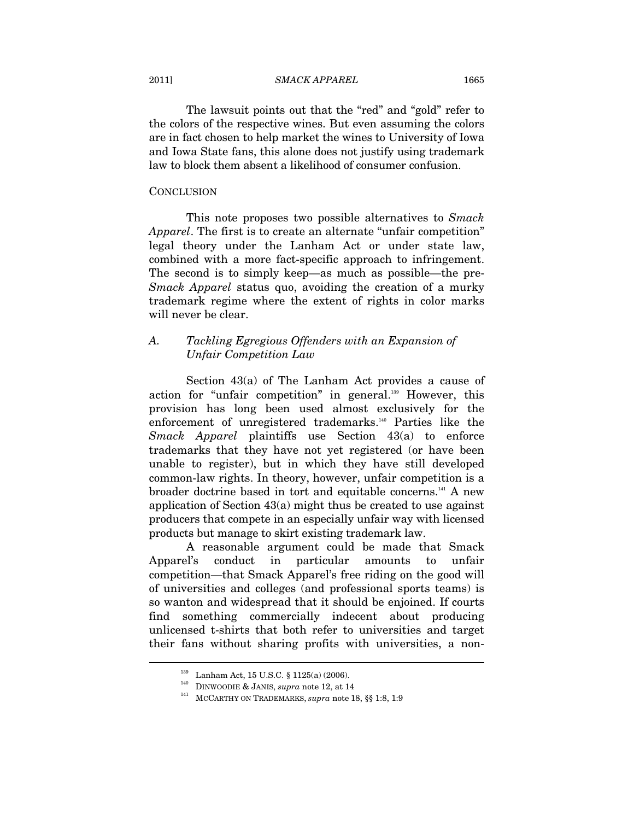#### 2011] *SMACK APPAREL* 1665

The lawsuit points out that the "red" and "gold" refer to the colors of the respective wines. But even assuming the colors are in fact chosen to help market the wines to University of Iowa and Iowa State fans, this alone does not justify using trademark law to block them absent a likelihood of consumer confusion.

#### **CONCLUSION**

This note proposes two possible alternatives to *Smack Apparel*. The first is to create an alternate "unfair competition" legal theory under the Lanham Act or under state law, combined with a more fact-specific approach to infringement. The second is to simply keep—as much as possible—the pre-*Smack Apparel* status quo, avoiding the creation of a murky trademark regime where the extent of rights in color marks will never be clear.

## *A. Tackling Egregious Offenders with an Expansion of Unfair Competition Law*

Section 43(a) of The Lanham Act provides a cause of action for "unfair competition" in general.<sup>139</sup> However, this provision has long been used almost exclusively for the enforcement of unregistered trademarks.140 Parties like the *Smack Apparel* plaintiffs use Section 43(a) to enforce trademarks that they have not yet registered (or have been unable to register), but in which they have still developed common-law rights. In theory, however, unfair competition is a broader doctrine based in tort and equitable concerns.<sup>141</sup> A new application of Section 43(a) might thus be created to use against producers that compete in an especially unfair way with licensed products but manage to skirt existing trademark law.

A reasonable argument could be made that Smack Apparel's conduct in particular amounts to unfair competition—that Smack Apparel's free riding on the good will of universities and colleges (and professional sports teams) is so wanton and widespread that it should be enjoined. If courts find something commercially indecent about producing unlicensed t-shirts that both refer to universities and target their fans without sharing profits with universities, a non-

<sup>&</sup>lt;sup>139</sup> Lanham Act, 15 U.S.C. § 1125(a) (2006).<br><sup>140</sup> DINWOODIE & JANIS, *supra* note 12, at 14<br><sup>141</sup> MCCARTHY ON TRADEMARKS, *supra* note 18, §§ 1:8, 1:9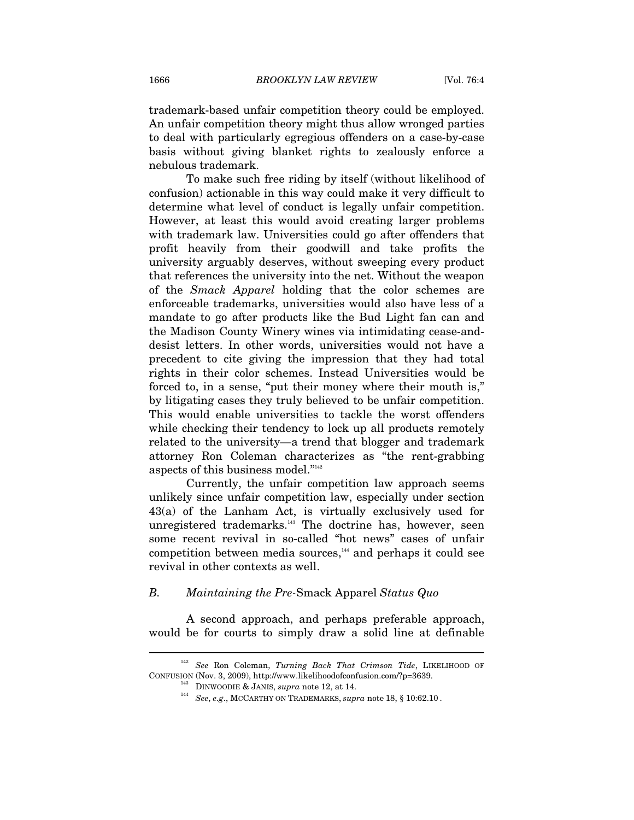trademark-based unfair competition theory could be employed. An unfair competition theory might thus allow wronged parties to deal with particularly egregious offenders on a case-by-case basis without giving blanket rights to zealously enforce a nebulous trademark.

To make such free riding by itself (without likelihood of confusion) actionable in this way could make it very difficult to determine what level of conduct is legally unfair competition. However, at least this would avoid creating larger problems with trademark law. Universities could go after offenders that profit heavily from their goodwill and take profits the university arguably deserves, without sweeping every product that references the university into the net. Without the weapon of the *Smack Apparel* holding that the color schemes are enforceable trademarks, universities would also have less of a mandate to go after products like the Bud Light fan can and the Madison County Winery wines via intimidating cease-anddesist letters. In other words, universities would not have a precedent to cite giving the impression that they had total rights in their color schemes. Instead Universities would be forced to, in a sense, "put their money where their mouth is," by litigating cases they truly believed to be unfair competition. This would enable universities to tackle the worst offenders while checking their tendency to lock up all products remotely related to the university—a trend that blogger and trademark attorney Ron Coleman characterizes as "the rent-grabbing aspects of this business model."142

Currently, the unfair competition law approach seems unlikely since unfair competition law, especially under section 43(a) of the Lanham Act, is virtually exclusively used for unregistered trademarks.<sup>143</sup> The doctrine has, however, seen some recent revival in so-called "hot news" cases of unfair competition between media sources,<sup>144</sup> and perhaps it could see revival in other contexts as well.

## *B. Maintaining the Pre-*Smack Apparel *Status Quo*

A second approach, and perhaps preferable approach, would be for courts to simply draw a solid line at definable

<sup>142</sup> *See* Ron Coleman, *Turning Back That Crimson Tide*, LIKELIHOOD OF CONFUSION (Nov. 3, 2009), http://www.likelihoodofconfusion.com/?p=3639. 143 DINWOODIE & JANIS, *supra* note 12, at 14. 144 *See*, *e.g*., MCCARTHY ON TRADEMARKS, *supra* note 18, § 10:62.10 .